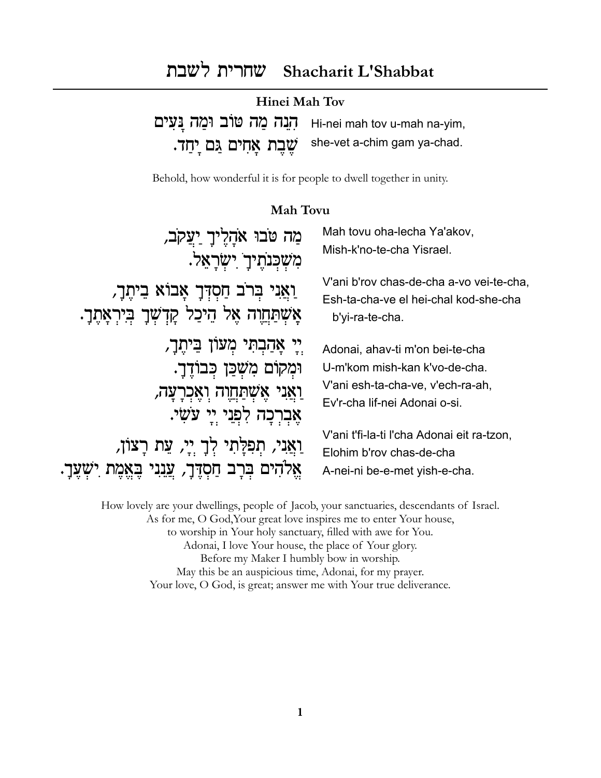# שחרית לשבת Shacharit L'Shabbat

| Hinei Mah Tov |                                                                 |
|---------------|-----------------------------------------------------------------|
|               | Hi-nei mah tov u-mah na-yim, הְנָה מֲזֹב וּמֲה נָּעָים          |
|               | יְחַד. she-vet a-chim gam ya-chad.<br>שֶׁבֶת אֲחִים גַּם יְחַד. |

Behold, how wonderful it is for people to dwell together in unity.

#### **Mah Tovu**

| מַה טֹבוּ אֹהָלֶיךָ יַעֲקֹב,                                                                 | Mah tovu oha-lecha Ya'akov,                                                                             |
|----------------------------------------------------------------------------------------------|---------------------------------------------------------------------------------------------------------|
| מִשְׁבְּנֹתֶיךָ יִשְׂרָאֵל.                                                                  | Mish-k'no-te-cha Yisrael.                                                                               |
| וַאֲנִי בְּרֹב חַסְדְּךָ אָבוֹא בֵיתֶךָ,<br>אָשְתַּחֲוָה אֶל הֵיכַל קִדְשְׁךָ בְּיִרְאָתֶךָ. | V'ani b'rov chas-de-cha a-vo vei-te-cha,<br>Esh-ta-cha-ve el hei-chal kod-she-cha<br>b'yi-ra-te-cha.    |
| יִי אַהַבִתִּי מִעוֹן בֵּיתֵךָ,                                                              | Adonai, ahav-ti m'on bei-te-cha                                                                         |
| וּמִקוֹם מִשְׁכַּן כִּבוֹדֵךָ.                                                               | U-m'kom mish-kan k'vo-de-cha.                                                                           |
| ַוַאֲנִי אֵשְׁתַּחֵוָה וְאֵכְרָעָה,                                                          | V'ani esh-ta-cha-ve, v'ech-ra-ah,                                                                       |
| כה לִפְנֵי יֵי עֹשִׂי.                                                                       | Ev'r-cha lif-nei Adonai o-si.                                                                           |
| וַאֲנִי, תְפִלָּתִי לְךָ יִיָ, עֵת רָצוֹן,<br>אַלהים בִּרָב חַסְדֶּךָ, עֲנִנִי               | V'ani t'fi-la-ti l'cha Adonai eit ra-tzon,<br>Elohim b'rov chas-de-cha<br>A-nei-ni be-e-met yish-e-cha. |

How lovely are your dwellings, people of Jacob, your sanctuaries, descendants of Israel. As for me, O God, Your great love inspires me to enter Your house, to worship in Your holy sanctuary, filled with awe for You. Adonai, I love Your house, the place of Your glory. Before my Maker I humbly bow in worship. May this be an auspicious time, Adonai, for my prayer. Your love, O God, is great; answer me with Your true deliverance.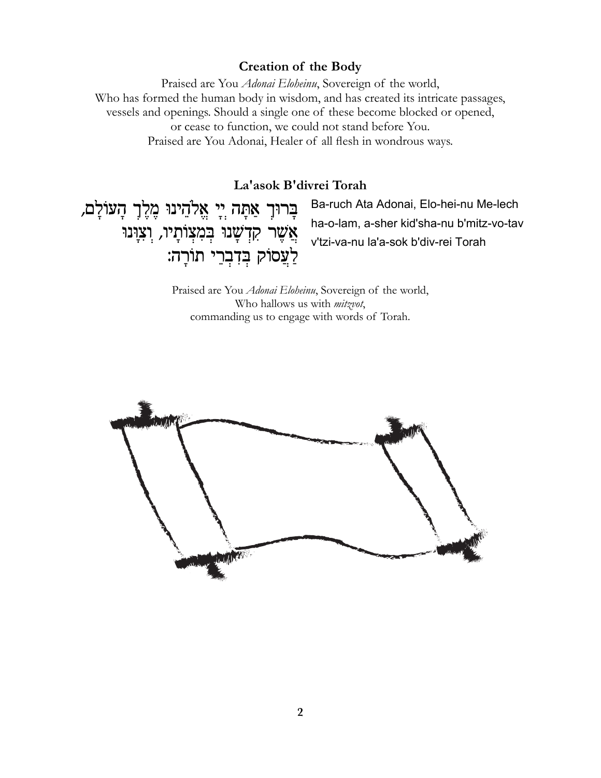### **Creation of the Body**

Praised are You Adonai Eloheinu, Sovereign of the world, Who has formed the human body in wisdom, and has created its intricate passages, vessels and openings. Should a single one of these become blocked or opened, or cease to function, we could not stand before You. Praised are You Adonai, Healer of all flesh in wondrous ways.

La'asok B'divrei Torah

בְּרוּךְ אַתָּה יְיָ אֱלֹהֵינוּ מֶלֶךְ הָעוֹלָם, אֲשֶׁר קִדְשָׁנוּ בְּמִצְוֹתָיו, וְצִוְּנוּ לַעֲסוֹק בְּדִבְרֵי תוֹרָה:

Ba-ruch Ata Adonai, Elo-hei-nu Me-lech ha-o-lam, a-sher kid'sha-nu b'mitz-vo-tav v'tzi-va-nu la'a-sok b'div-rei Torah

Praised are You Adonai Eloheinu, Sovereign of the world, Who hallows us with *mitzvot*, commanding us to engage with words of Torah.

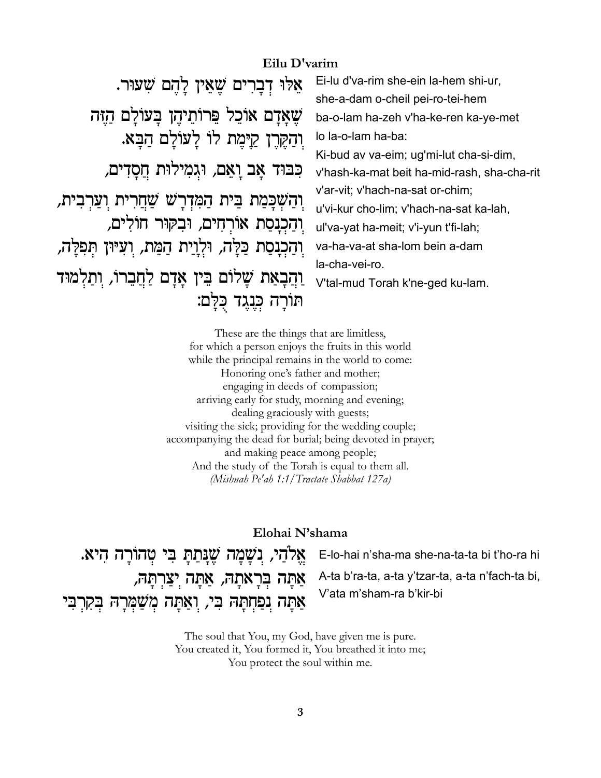### Eilu D'varim

אֵלוּ דְבָרִים שֶׁאֵין לַהָם שָׁעוּר. שֵׁאַדָם אוֹכֵל פֵּרוֹתֵיהֶן בַּעוֹלַם הַזֶּה וִהַקְּרֶן קַיָּמֶת לוֹ לַעוֹלַם הַבָּא. כִּבּוּד אָב וַאֵם, וּגִמְילוּת חֲסָדִים, וַהַשְׁכַּמַת בֵּית הַמְּדְרַשׁ שַׁחֲרִית וַעֲרְבִית, וִהַכְנָסַת אוֹרְחִים, וּבִקּוּר חוֹלִים, וִהַכְנָסַת כַּלֲה, וּלְוַיַת הַמֵּת, וִעִּיּוּן תִּפְלֶה, la-cha-vei-ro. וַהַבָאַת שַׁלוֹם בֵּין אַדַם לַחֲבֵרוֹ, וִתַלְמוּד תורה כנגד כלם:

Ei-lu d'va-rim she-ein la-hem shi-ur, she-a-dam o-cheil pei-ro-tei-hem ba-o-lam ha-zeh v'ha-ke-ren ka-ye-met lo la-o-lam ha-ba: Ki-bud av va-eim; ug'mi-lut cha-si-dim, v'hash-ka-mat beit ha-mid-rash, sha-cha-rit v'ar-vit; v'hach-na-sat or-chim; u'vi-kur cho-lim; v'hach-na-sat ka-lah, ul'va-yat ha-meit; v'i-yun t'fi-lah; va-ha-va-at sha-lom bein a-dam V'tal-mud Torah k'ne-ged ku-lam.

These are the things that are limitless, for which a person enjoys the fruits in this world while the principal remains in the world to come: Honoring one's father and mother; engaging in deeds of compassion; arriving early for study, morning and evening; dealing graciously with guests; visiting the sick; providing for the wedding couple; accompanying the dead for burial; being devoted in prayer; and making peace among people; And the study of the Torah is equal to them all. (Mishnah Pe'ah 1:1 / Tractate Shabbat 127a)

### Elohai N'shama

אֱלֹהֵי, נִשֲמַה שֱנַתַתַּ בִּי טְהוֹרָה הִיא. אַתַּה בִּרָאמַהּ, אַתַּה יִצַרְתַּהּ, אַתָּה נִפַּחִתָּה בִּי, וִאֲתָּה מִשַּׁמְּרָהּ בִקְרִבִּי

E-lo-hai n'sha-ma she-na-ta-ta bi t'ho-ra hi

A-ta b'ra-ta, a-ta y'tzar-ta, a-ta n'fach-ta bi, V'ata m'sham-ra b'kir-bi

The soul that You, my God, have given me is pure. You created it, You formed it, You breathed it into me; You protect the soul within me.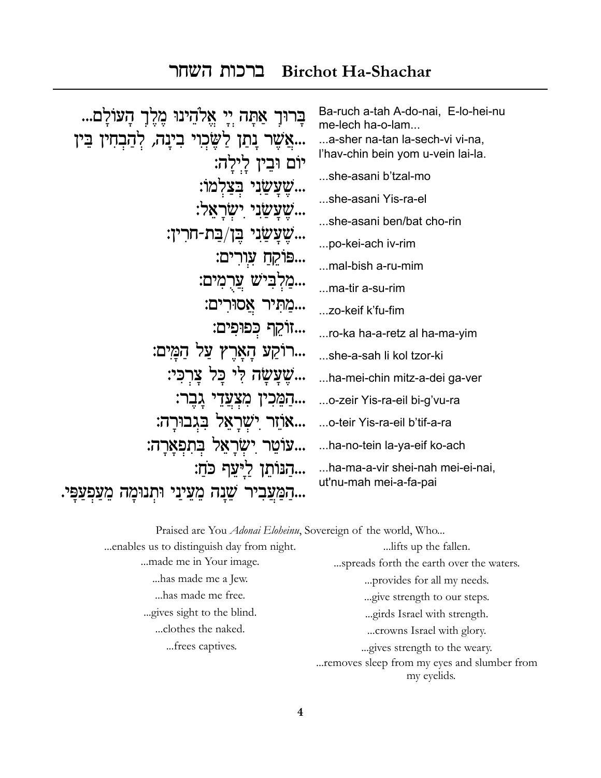#### **Birchot Ha-Shachar** ברכות השחר

| אַתַּה יִי אֱלֹהֵינוּ מֵלֵךְ הָעוֹלַם            | Ba-ruch a-tah A-do-nai, E-lo-hei-nu<br>me-lech ha-o-lam |
|--------------------------------------------------|---------------------------------------------------------|
| אֲשֶׁר נַתַן לַשֱׂכִוִי בִינַה, לִהַבְחִין בֵּין | a-sher na-tan la-sech-vi vi-na,                         |
| יוֹם וּבֵין לַילה:                               | l'hav-chin bein yom u-vein lai-la.                      |
| בצלמו:                                           | she-asani b'tzal-mo                                     |
| זעַשַני ישראַל:                                  | she-asani Yis-ra-el                                     |
| שֶׁעֲשֲׂנִי בֶּן/בַּת-חֹרִין:                    | she-asani ben/bat cho-rin                               |
|                                                  | po-kei-ach iv-rim                                       |
| פּוֹקֵחַ עָוִרִים:                               | mal-bish a-ru-mim                                       |
| מַלִּבִּישׁ עֲרָמִים:                            | ma-tir a-su-rim                                         |
| מַתִּיר אֲסוּרִים:                               | zo-keif k'fu-fim                                        |
| זוֹקֵף כִּפוּפִים:                               | ro-ka ha-a-retz al ha-ma-yim                            |
| רוֹקַע הָאֲרֵץ עַל הַמֲיִם:                      | she-a-sah li kol tzor-ki                                |
| שֵׁעֲשַׂה לִי כַּל צַרְכִּי:                     | ha-mei-chin mitz-a-dei ga-ver                           |
| הַמֵּכִין מִצְעֲדֵי                              | o-zeir Yis-ra-eil bi-g'vu-ra                            |
| אוזר ישראל בגבורה:                               | o-teir Yis-ra-eil b'tif-a-ra                            |
| עוֹטֵר יִשְׂרַאֵל בְּתִפְאַרָה:                  | ha-no-tein la-ya-eif ko-ach                             |
| הַנּוֹתֵן לַיִּעַף כֹּחַ:                        | ha-ma-a-vir shei-nah mei-ei-nai,                        |
| שֵנה מֵעֵינַי<br>המעביר<br>יתנימד                | ut'nu-mah mei-a-fa-pai                                  |
|                                                  |                                                         |

Praised are You Adonai Eloheinu, Sovereign of the world, Who... ... enables us to distinguish day from night. ... lifts up the fallen. ...made me in Your image. ...spreads forth the earth over the waters. ...has made me a Jew. ... provides for all my needs. ... has made me free. ...give strength to our steps. ... gives sight to the blind. ...girds Israel with strength. ...clothes the naked. ... crowns Israel with glory. ...frees captives. ... gives strength to the weary.

... removes sleep from my eyes and slumber from my eyelids.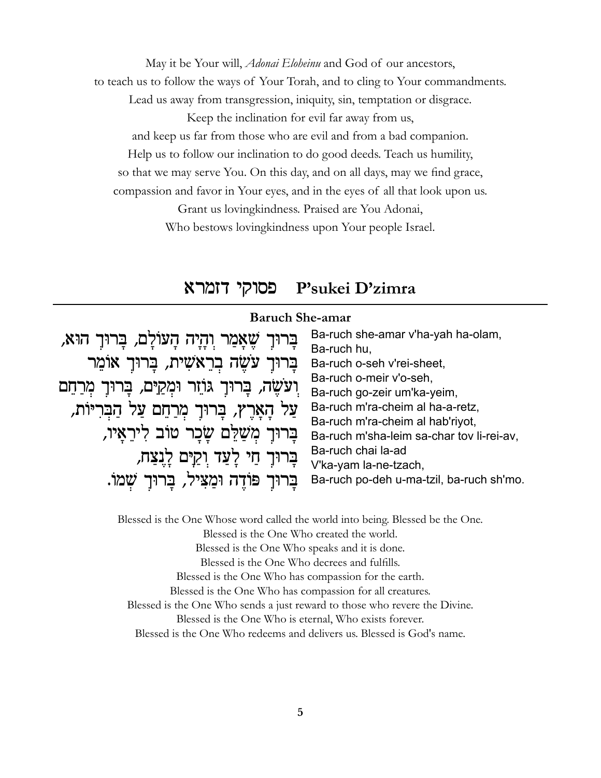May it be Your will, *Adonai Eloheinu* and God of our ancestors, to teach us to follow the ways of Your Torah, and to cling to Your commandments.

Lead us away from transgression, iniquity, sin, temptation or disgrace.

Keep the inclination for evil far away from us,

and keep us far from those who are evil and from a bad companion.

Help us to follow our inclination to do good deeds. Teach us humility,

so that we may serve You. On this day, and on all days, may we find grace,

compassion and favor in Your eyes, and in the eyes of all that look upon us.

Grant us lovingkindness. Praised are You Adonai, Who bestows lovingkindness upon Your people Israel.

## פסוקי דזמרא P'sukei D'zimra

| <b>Baruch She-amar</b>                                  |                                           |
|---------------------------------------------------------|-------------------------------------------|
| בְּרוּךְ שֶׁאֲמַר וְהָיָה הָעוֹלָם, בָּרוּךָ הוּא,      | Ba-ruch she-amar v'ha-yah ha-olam,        |
|                                                         | Ba-ruch hu,                               |
| בָרוּךָ עֹשֵׂה בְרֵאֹשִׁית, בָּרוּךָ אוֹמֵר             | Ba-ruch o-seh v'rei-sheet,                |
|                                                         | Ba-ruch o-meir v'o-seh,                   |
| וִעֹשֶׂה, בָּרוּךָ גּוֹזֵר וּמְקַיַּם, בְּרוּךָ מְרַחֵם | Ba-ruch go-zeir um'ka-yeim,               |
| עַל הָאָרֶץ, בָּרוּךָ מְרַחֵם עַל הַבְּרִיּוֹת,         | Ba-ruch m'ra-cheim al ha-a-retz,          |
|                                                         | Ba-ruch m'ra-cheim al hab'riyot,          |
| בַרוּךָ מִשַּׁלֵּם שָׂבָר טוֹב לִירֵאָיו,               | Ba-ruch m'sha-leim sa-char tov li-rei-av, |
| בָרוּךָ חַי לָעַד וִקַיּם לָנִצַח,                      | Ba-ruch chai la-ad                        |
|                                                         | V'ka-yam la-ne-tzach,                     |
| בָרוּךָ פּוֹדֶה וּמַצִיל, בָרוּךְ שָׁמוֹ.               | Ba-ruch po-deh u-ma-tzil, ba-ruch sh'mo.  |

Blessed is the One Whose word called the world into being. Blessed be the One. Blessed is the One Who created the world. Blessed is the One Who speaks and it is done. Blessed is the One Who decrees and fulfills. Blessed is the One Who has compassion for the earth. Blessed is the One Who has compassion for all creatures. Blessed is the One Who sends a just reward to those who revere the Divine. Blessed is the One Who is eternal, Who exists forever. Blessed is the One Who redeems and delivers us. Blessed is God's name.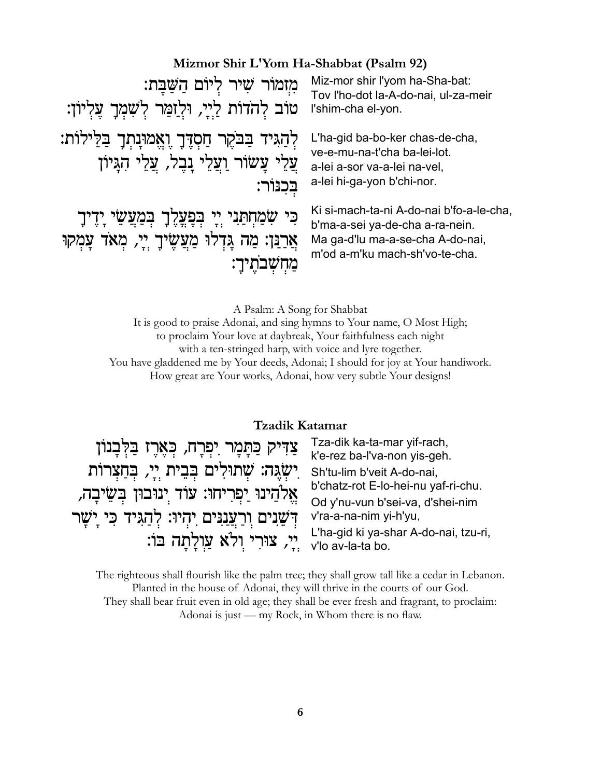## Mizmor Shir L'Yom Ha-Shabbat (Psalm 92)

| מְזמוֹר שִׁיר לְיוֹם הַשֲׁבָּת:<br>טוֹב לְהֹדוֹת לַיָּי, וּלְזַמֵּר לְשָׁמְךָ עֶלְיוֹן:                                     | Miz-mor shir I'yom ha-Sha-bat:<br>Tov l'ho-dot la-A-do-nai, ul-za-meir<br>l'shim-cha el-yon.                                                      |
|-----------------------------------------------------------------------------------------------------------------------------|---------------------------------------------------------------------------------------------------------------------------------------------------|
| לְהַגִּיד בַּבֹּקֶר חַסְדֶּךָ וֶאֱמוּנָתְךָ בַּלֵּילוֹת:<br>עֲלֵי עֲשׂוֹר וַעֲלֵי נָבֶל, עֲלֵי הָגֵיוֹן<br>בכנור:           | L'ha-gid ba-bo-ker chas-de-cha,<br>ve-e-mu-na-t'cha ba-lei-lot.<br>a-lei a-sor va-a-lei na-vel,<br>a-lei hi-ga-yon b'chi-nor.                     |
| כִּי שִׂמַחְתַּנִי יְיָ בְפָעֲלֶךָ בְּמַעֲשֵׂי יָדֶיךָ<br>אֲרַנֵּן: מַה גָּדְלוּ מַעֲשֶׂיךָ יְיָ, מְאֹד עָמְקוּ<br>מחשבתיך: | Ki si-mach-ta-ni A-do-nai b'fo-a-le-cha,<br>b'ma-a-sei ya-de-cha a-ra-nein.<br>Ma ga-d'lu ma-a-se-cha A-do-nai,<br>m'od a-m'ku mach-sh'vo-te-cha. |

A Psalm: A Song for Shabbat

It is good to praise Adonai, and sing hymns to Your name, O Most High; to proclaim Your love at daybreak, Your faithfulness each night with a ten-stringed harp, with voice and lyre together. You have gladdened me by Your deeds, Adonai; I should for joy at Your handiwork. How great are Your works, Adonai, how very subtle Your designs!

### Tzadik Katamar

| צַדִּיק כַּתָּמָר יִפְרָח, כְּאֶרֶז בַּלְּבָנוֹן<br>יִשְׂגֵה: שְׁתוּלִים בְּבֵית יְיָ, בְּחַצְרוֹת<br>אֱלֹהֵינוּ יַפִרִיחוּ: עוֹד יִנוּבוּן בִּשֵׂיבָה,<br>דְּשֵׂנִים וִרַעֲנַנִּים יִהְיוּ: לְהַגִּיד כִּי יַשׁר | Tza-dik ka-ta-mar yif-rach,<br>k'e-rez ba-l'va-non yis-geh.<br>Sh'tu-lim b'veit A-do-nai,<br>b'chatz-rot E-lo-hei-nu yaf-ri-chu.<br>Od y'nu-vun b'sei-va, d'shei-nim<br>v'ra-a-na-nim yi-h'yu, |
|-------------------------------------------------------------------------------------------------------------------------------------------------------------------------------------------------------------------|------------------------------------------------------------------------------------------------------------------------------------------------------------------------------------------------|
| יֵי, צוּרִי וְלֹא עַוְלָתָה בּוֹ:                                                                                                                                                                                 | L'ha-gid ki ya-shar A-do-nai, tzu-ri,<br>v'lo av-la-ta bo.                                                                                                                                     |

The righteous shall flourish like the palm tree; they shall grow tall like a cedar in Lebanon. Planted in the house of Adonai, they will thrive in the courts of our God. They shall bear fruit even in old age; they shall be ever fresh and fragrant, to proclaim: Adonai is just — my Rock, in Whom there is no flaw.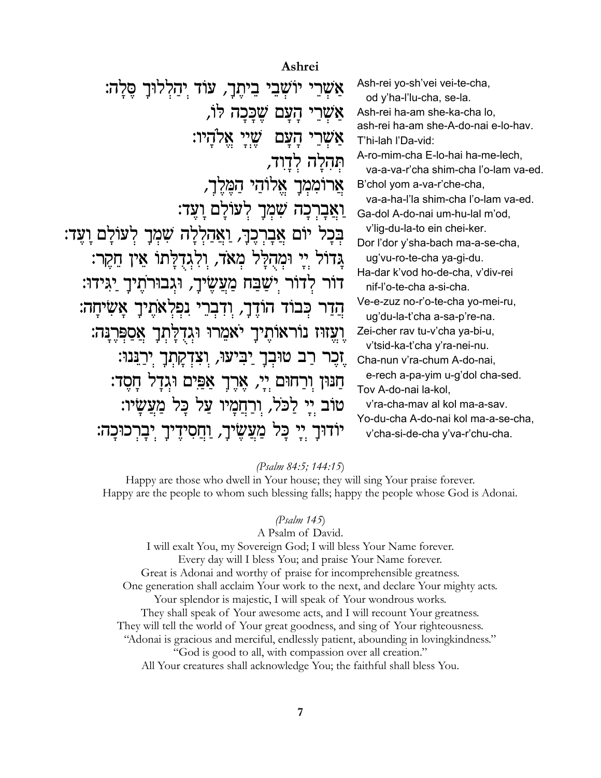Ashrei Ash-rei yo-sh'vei vei-te-cha, שְׁרֵי יוֹשָׁבֵי בֵיתֵךָ, עוֹד יִהַלְלוּךָ סֵלָה: od y'ha-l'lu-cha, se-la. אשרי העם שככה לו, Ash-rei ha-am she-ka-cha lo, ash-rei ha-am she-A-do-nai e-lo-hav. אַשְרֵי הָעָם שֵׁיֵי אֵלֹהַיו: T'hi-lah l'Da-vid: A-ro-mim-cha E-lo-hai ha-me-lech, תהלה לדוד, va-a-va-r'cha shim-cha l'o-lam va-ed. אֲרוֹמְמְךָ אֱלוֹהַי הַמֲלֵךָ, B'chol yom a-va-r'che-cha. va-a-ha-l'la shim-cha l'o-lam va-ed. וְאֲבַרְכָה שָׁמְךָ לְעוֹלַם וַעֲד: Ga-dol A-do-nai um-hu-lal m'od. v'lig-du-la-to ein chei-ker. בִּכָל יוֹם אֲבָרִבֵךָ, וַאֲהַלְלָה שָׁמְךָ לְעוֹלָם וַעֵּד: Dor l'dor y'sha-bach ma-a-se-cha, גַדוֹּל יַיַ וּמְהִלַּל מְאֹד, וִלְגִדְלַּתוֹ אֵין חֲקֵר: ug'vu-ro-te-cha ya-gi-du. Ha-dar k'vod ho-de-cha, v'div-rei דור לדור ישַבַּח מַעֲשֵׂיךָ, וּגִבוּרֹתֵיךָ יַגִּידוּ: nif-l'o-te-cha a-si-cha. Ve-e-zuz no-r'o-te-cha yo-mei-ru, הֲדָר כִּבוֹד הוֹדֶךָ, וִדְבְרֵי נִפְלְאֹתֵיךָ אֲשָׂיחָה: ug'du-la-t'cha a-sa-p're-na. וַעֲזוּז נוֹראוֹתֵיךָ יֹאמֵרוּ וּגִדְלָתְךָ אֲסַפְּרֵנָּה: Zei-cher rav tu-v'cha va-bi-u, v'tsid-ka-t'cha y'ra-nei-nu. ֶזְכֶר רַב טוּבְךָ יַבִּיעוּ, וְצִדְקָתְךָ יְרַגֵּנוּ: Cha-nun v'ra-chum A-do-nai, e-rech a-pa-yim u-g'dol cha-sed. חַנּוּן וִרַחוּם יֵי, אֲרֶךָ אַפֵּים וּגִדַל חַסֵד: Tov A-do-nai la-kol, טוֹב יֵי לַכֹּלֹ, וִרַחֲמַיו עַל כַּל מַעֲשָׂיו: v'ra-cha-mav al kol ma-a-sav. Yo-du-cha A-do-nai kol ma-a-se-cha, יוֹדוּךָ יִי כָּל מַעֲשֵׂיךָ, וַחֲסִידֵיךָ יִבָרְכוּכָה: v'cha-si-de-cha y'va-r'chu-cha.

#### (Psalm 84:5; 144:15)

Happy are those who dwell in Your house; they will sing Your praise forever. Happy are the people to whom such blessing falls; happy the people whose God is Adonai.

#### $(Psalm 145)$

A Psalm of David. I will exalt You, my Sovereign God; I will bless Your Name forever. Every day will I bless You; and praise Your Name forever. Great is Adonai and worthy of praise for incomprehensible greatness. One generation shall acclaim Your work to the next, and declare Your mighty acts. Your splendor is majestic, I will speak of Your wondrous works. They shall speak of Your awesome acts, and I will recount Your greatness. They will tell the world of Your great goodness, and sing of Your righteousness. "Adonai is gracious and merciful, endlessly patient, abounding in loving kindness." "God is good to all, with compassion over all creation." All Your creatures shall acknowledge You; the faithful shall bless You.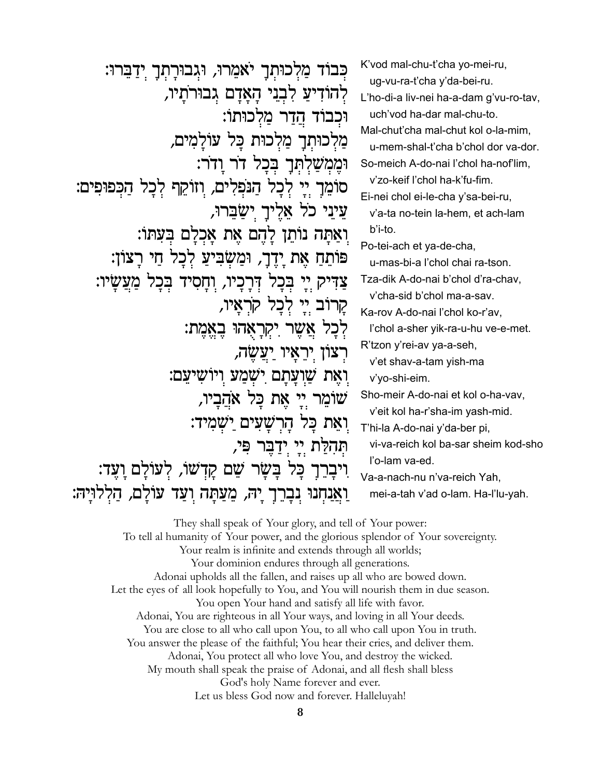| כִּבוֹד מַלְכוּתְךָ יֹאמֵרוּ, וּגִבוּרָתִךָ יִדַבֵּרוּ:<br>לְהוֹדִיעַ לִבְנֵי הָאָדָם גְבוּרֹתָיו,<br>וּכִבוֹד הֲדַר מַלְכוּתוֹ:<br>מַלִכוּתִךָ מַלִכוּת כַּל עוֹלַמִים,<br>וּמֵמְשַׁלִתְּךָ בְּכַל דֹר וַדֹר:<br>סוֹמֵךָ יִי לִכָל הַנֹּפִלִים, וְזוֹקֵף לִכָל הַכִּפּוּפִים:<br>עֵינֵי כֹל אֱלֵיךָ יִשֲבֵרוּ,<br>וִאַתָּה נוֹתֵן לָהֵם אֵת אָכְלָם בִּעִּתּוֹ:<br>פּוֹתֵחַ אֶת יָדֶךָ, וּמַשְׂבִּיעַ לִכָל חַי רַצוֹן:<br>צַדִּיק יִי בִּכָל דִּרָכָיו, וִחָסִיד בִּכָל מַעֲשָׂיו:<br>קָרוֹב יִי לְכָל קֹרָאַיו,<br>לִכָּל אֲשֶׁר יִקְרָאָהוּ בָאֱמֶת:<br>רִצוֹן יִרְאַיוּ יַעֲשֵׂה,<br>ָואֵת שַׁוִעַּתַם יִשְׁמַע וִיוֹשִיעֵם: | K'vod mal-chu-t'cha yo-mei-ru,<br>ug-vu-ra-t'cha y'da-bei-ru.<br>L'ho-di-a liv-nei ha-a-dam g'vu-ro-tav,<br>uch'vod ha-dar mal-chu-to.<br>Mal-chut'cha mal-chut kol o-la-mim,<br>u-mem-shal-t'cha b'chol dor va-dor.<br>So-meich A-do-nai l'chol ha-nof'lim,<br>v'zo-keif l'chol ha-k'fu-fim.<br>Ei-nei chol ei-le-cha y'sa-bei-ru,<br>v'a-ta no-tein la-hem, et ach-lam<br>b'i-to.<br>Po-tei-ach et ya-de-cha,<br>u-mas-bi-a l'chol chai ra-tson.<br>Tza-dik A-do-nai b'chol d'ra-chav,<br>v'cha-sid b'chol ma-a-sav.<br>Ka-rov A-do-nai l'chol ko-r'av,<br>l'chol a-sher yik-ra-u-hu ve-e-met.<br>R'tzon y'rei-av ya-a-seh,<br>v'et shav-a-tam yish-ma<br>v'yo-shi-eim. |
|-----------------------------------------------------------------------------------------------------------------------------------------------------------------------------------------------------------------------------------------------------------------------------------------------------------------------------------------------------------------------------------------------------------------------------------------------------------------------------------------------------------------------------------------------------------------------------------------------------------------------------------|---------------------------------------------------------------------------------------------------------------------------------------------------------------------------------------------------------------------------------------------------------------------------------------------------------------------------------------------------------------------------------------------------------------------------------------------------------------------------------------------------------------------------------------------------------------------------------------------------------------------------------------------------------------------------|
|                                                                                                                                                                                                                                                                                                                                                                                                                                                                                                                                                                                                                                   |                                                                                                                                                                                                                                                                                                                                                                                                                                                                                                                                                                                                                                                                           |
| שומר יִי אֵת כָּל אֹהֵבָיו,<br>וִאֵת כַּל הָרִשָּׁעִים יַשְׁמִיד:<br>תְהָלָת יי יִדְבֵּר פִּי,<br>כָּל בָּשָׂר שֵׁם קַדְשׁוֹ, לִעּוֹלַם וַעֵּד:<br>עולם,<br>חְנוּ נְבְרֵךְ יָה, מֵעַתַּה וִעַּד                                                                                                                                                                                                                                                                                                                                                                                                                                   | Sho-meir A-do-nai et kol o-ha-vav,<br>v'eit kol ha-r'sha-im yash-mid.<br>T'hi-la A-do-nai y'da-ber pi,<br>vi-va-reich kol ba-sar sheim kod-sho<br>l'o-lam va-ed.<br>Va-a-nach-nu n'va-reich Yah,<br>mei-a-tah v'ad o-lam. Ha-l'lu-yah.                                                                                                                                                                                                                                                                                                                                                                                                                                    |
|                                                                                                                                                                                                                                                                                                                                                                                                                                                                                                                                                                                                                                   |                                                                                                                                                                                                                                                                                                                                                                                                                                                                                                                                                                                                                                                                           |

They shall speak of Your glory, and tell of Your power: To tell al humanity of Your power, and the glorious splendor of Your sovereignty. Your realm is infinite and extends through all worlds; Your dominion endures through all generations. Adonai upholds all the fallen, and raises up all who are bowed down. Let the eyes of all look hopefully to You, and You will nourish them in due season. You open Your hand and satisfy all life with favor. Adonai, You are righteous in all Your ways, and loving in all Your deeds. You are close to all who call upon You, to all who call upon You in truth. You answer the please of the faithful; You hear their cries, and deliver them. Adonai, You protect all who love You, and destroy the wicked. My mouth shall speak the praise of Adonai, and all flesh shall bless God's holy Name forever and ever. Let us bless God now and forever. Halleluyah!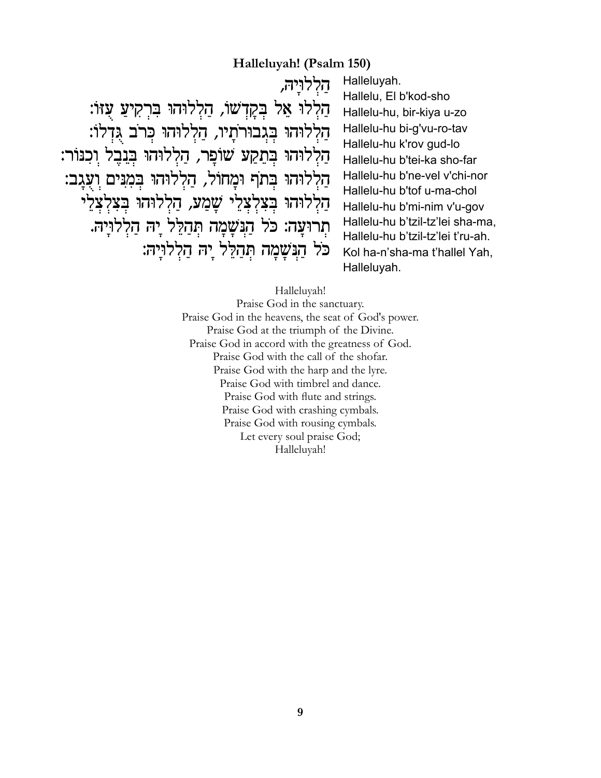## **Halleluyah! (Psalm 150)**

††††††††††††††††††††††††††††††††††¨dÀÈeÏŸÏÉ †††††∫«f‹Ú†ÃÚÈœ˜Ÿ¯œa†e‰eÏŸÏɆ¨«˘Ÿ"À˜Ÿa†ÏÕ‡†eÏŸÏÉ ׁ הַלְלוּהוּ בְגִבוּרֹתַיו, הַלְלוּהוּ כִּר<sup>ֹ</sup>ב גִּדְלוֹ: הַלְלוּהוּ בִּתֲקַעׁ שׁוֹפַר, הַלְלוּהוּ בְּנֵבֵל וִכְנּוֹר: הַלְלוּהוּ בִתֹף וּמֲחוֹל, הַלְלוּהוּ בִמְנֵים וִעְגַב: הַלְלוּהוּ בִצְלְצָלֵי שֲמַע, הַלְלוּהוּ בִצְלְצָלֵי תִרוּעַה: כֹּל הַנִּשָׁמָה תְּהַלֵּל יַהּ הַלְלוּיַהּ. כֹּל הַנִּשָׁמָה תְּהַלֵּל יַהּ הַלְלוּיַהּ: Halleluyah. Hallelu, El b'kod-sho Hallelu-hu, bir-kiya u-zo Hallelu-hu bi-g'vu-ro-tav Hallelu-hu k'rov gud-lo Hallelu-hu b'tei-ka sho-far Hallelu-hu b'ne-vel v'chi-nor Hallelu-hu b'tof u-ma-chol Hallelu-hu b'mi-nim v'u-gov Hallelu-hu b'tzil-tz'lei sha-ma, Hallelu-hu b'tzil-tz'lei t'ru-ah. Kol ha-n'sha-ma t'hallel Yah, Halleluyah.

#### Halleluyah!

Praise God in the sanctuary. Praise God in the heavens, the seat of God's power. Praise God at the triumph of the Divine. Praise God in accord with the greatness of God. Praise God with the call of the shofar. Praise God with the harp and the lyre. Praise God with timbrel and dance. Praise God with flute and strings. Praise God with crashing cymbals. Praise God with rousing cymbals. Let every soul praise God; Halleluyah!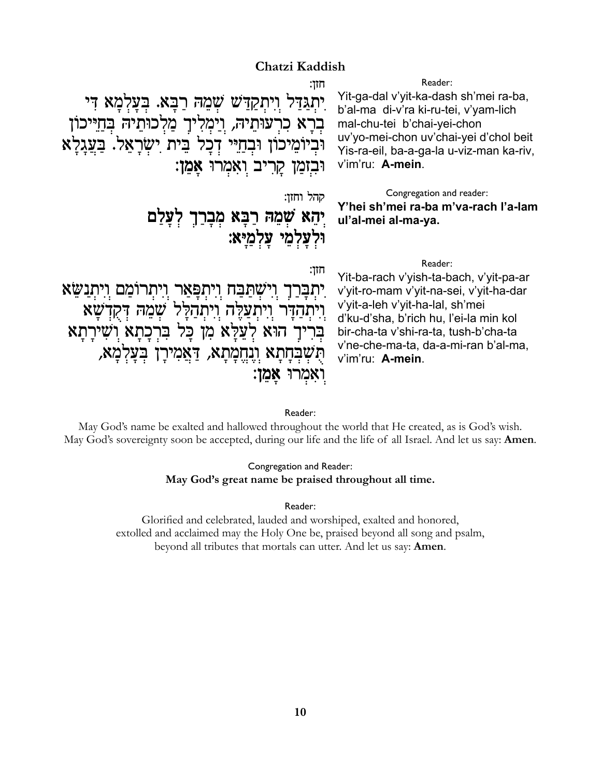### Chatzi Kaddish

חזן: יִתְגַּדַּל וִיִתְקַדַּשׁ שָׁמֵהּ רַבָּא. בִּעַלְמַא דִּי בִרָא כִרְעוּתֵיהּ, וַיַּמְלִיךָ מַלְכוּתֵיהּ בְּחַיֵּיכוֹן וּבְיוֹמֵיכוֹן וּבְחַיִּי דְכָל בֵית יִשְׂרָאֵל. בַּעֲגַלַא וּבְזִמַן קַרִיב וְאָמְרוּ אַמֵן:

קהל וחזו:

חזו:

## יִהָא שִׁמֵהּ רַבָּא מִבְרַךְ לִעֲלַם ולעלמי עלמיא:

Reader:

Yit-ga-dal v'yit-ka-dash sh'mei ra-ba, b'al-ma di-v'ra ki-ru-tei, v'yam-lich mal-chu-tei b'chai-yei-chon uv'yo-mei-chon uv'chai-yei d'chol beit Yis-ra-eil, ba-a-ga-la u-viz-man ka-riv, v'im'ru: A-mein.

Congregation and reader: Y'hei sh'mei ra-ba m'va-rach l'a-lam ul'al-mei al-ma-ya.

#### Reader:

Yit-ba-rach v'yish-ta-bach, v'yit-pa-ar יִתְבָּרַךְ וִישְׁתַּבַּח וִיתִפָּאַר וִיתִרוֹמֵם וִיתְנַשֵּׂא v'yit-ro-mam v'yit-na-sei, v'yit-ha-dar v'yit-a-leh v'yit-ha-lal, sh'mei ויתהדר ויתעלה ויתהלל שמה דקדשא d'ku-d'sha, b'rich hu, l'ei-la min kol בּרִיךָ הוּא לְעֲלֵּא מְן כַּל בִּרְכַתַא וְשִׁירַתַּא bir-cha-ta v'shi-ra-ta, tush-b'cha-ta v'ne-che-ma-ta, da-a-mi-ran b'al-ma, הִשְׁבִּחָתָא וְנֵחֱמָתָא, דַּאֲמִירָן בִּעֲלִמָא, v'im'ru: A-mein. ואָמְרוּ אָמֵן:

#### Reader:

May God's name be exalted and hallowed throughout the world that He created, as is God's wish. May God's sovereignty soon be accepted, during our life and the life of all Israel. And let us say: **Amen**.

#### Congregation and Reader: May God's great name be praised throughout all time.

Reader:

Glorified and celebrated, lauded and worshiped, exalted and honored, extolled and acclaimed may the Holy One be, praised beyond all song and psalm, beyond all tributes that mortals can utter. And let us say: Amen.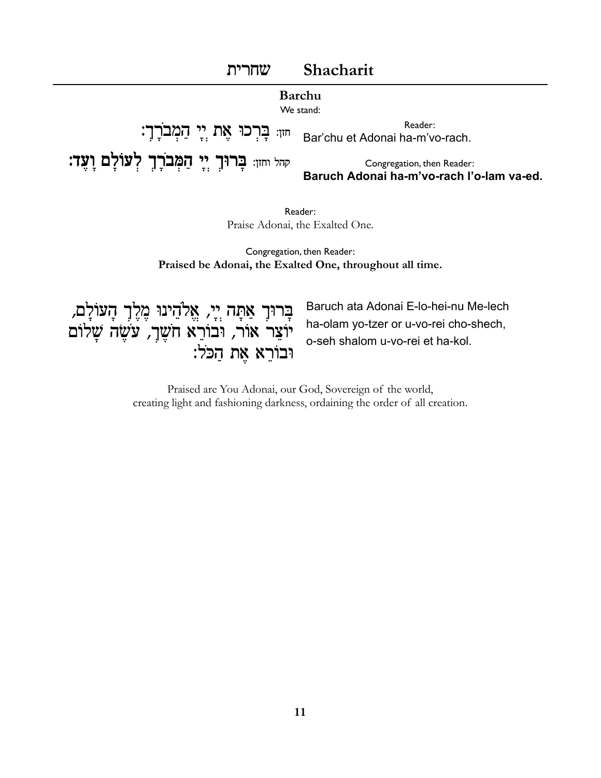

Reader: Praise Adonai, the Exalted One.

Congregation, then Reader: Praised be Adonai, the Exalted One, throughout all time.

בְּרוּךְ אַתָּה יְיָ, אֱלֹהֵינוּ מֶלֶךְ הָעוֹלָם, יוצר אור, ובורא חשר, עשה שלום וּבוֹרֵא אֶת הַכּלֹ:

Baruch ata Adonai E-lo-hei-nu Me-lech ha-olam yo-tzer or u-vo-rei cho-shech, o-seh shalom u-vo-rei et ha-kol.

Praised are You Adonai, our God, Sovereign of the world, creating light and fashioning darkness, ordaining the order of all creation.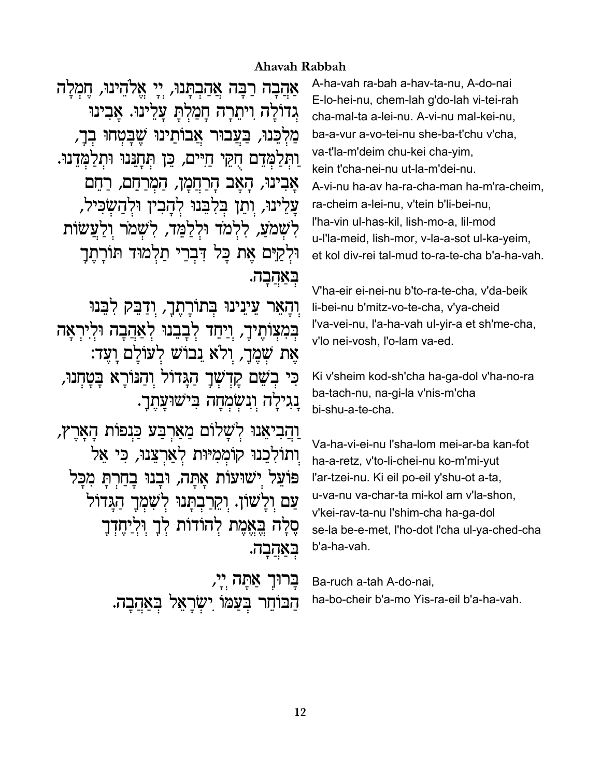### Ahavah Rabbah

אַהֲבָה רַבָּה אֲהַבִתֲנוּ, יִי אֵלֹהֵינוּ, חֵמְלָה גדולה ויתרה חמלת עלינו. אבינו מַלְכֵּנוּ, בַּעֲבוּר אֲבוֹתֵינוּ שֵׁבַּטְחוּ בְךָ, וַתְּלַמְּדֵם חָקֵי חַיִּים, כֵּן תְּחָנֵּנוּ וּתְלַמְּדֵנוּ. אבינו, האב הרחמן, המרחם, רחם עַלֵינוּ, וִתֵן בִּלְבֵנוּ לְהַבְין וּלְהַשָׂכִּיל, לְשָׁמֹעַ, לִלְמֹד וּלְלַמֵּד, לְשָׁמֹר וְלַעֲשׂוֹת וּלְקַיִּם אֵת כַּל דְּבְרֵי תַלְמוּד תּוֹרָתֵך בַּאֲהַבָה.

וִהַאֵּר עֵייֲנִינוּ בְּתוֹרָתֵךָ, וִדַבֵּק לְבֵּנוּ בִּמְצִוֹתֵיךָ, וַיַּחֵד לְבָבֵנוּ לְאַהֲבָה וּלִירְאָה אֵת שִׁמֲךָ, וִלֹא נֵבוֹשׁ לְעוֹלַם וַעֲד: ּכִּי בְשֵׁם קָדְשְׁךָ הַגָּדוֹל וִהַנּוֹרָא בַּטַחִנוּ, נגילה ונשמחה בישועתר.

וַהַבִיאֲנוּ לְשָׁלוֹם מֵאַרְבַּע כַּנִפוֹת הַאַרֶץ, וְתוֹלְכֵנוּ קוֹמְמִיּוּת לְאַרְצֵנוּ, כִּי אֵל פּוֹעֵל יִשׁוּעוֹת אֲתָה, וּבָנוּ בָחַרְתָּ מִכָּל עַם וַלַשׁוֹן. וַקֵרַבְתַּנוּ לִשָּׁמְךָ הַגַּדוֹל סֵלַה בֵאֱמֵת לְהוֹדוֹת לְךָ וִלְיַחֶדְךָ באהבה.

> ַבְּרוּךְ אַתָּה יְיָ, Ba-ruch a-tah A-do-nai, הַבּוֹחֵר בְּעַמּוֹ יִשְׂרָאֵל בִּאֲהֲבָה.

A-ha-vah ra-bah a-hav-ta-nu, A-do-nai E-lo-hei-nu, chem-lah g'do-lah vi-tei-rah cha-mal-ta a-lei-nu. A-vi-nu mal-kei-nu, ba-a-vur a-vo-tei-nu she-ba-t'chu v'cha. va-t'la-m'deim chu-kei cha-yim, kein t'cha-nei-nu ut-la-m'dei-nu. A-vi-nu ha-av ha-ra-cha-man ha-m'ra-cheim. ra-cheim a-lei-nu, v'tein b'li-bei-nu, l'ha-vin ul-has-kil, lish-mo-a, lil-mod u-l'la-meid, lish-mor, v-la-a-sot ul-ka-yeim, et kol div-rei tal-mud to-ra-te-cha b'a-ha-vah.

V'ha-eir ei-nei-nu b'to-ra-te-cha, v'da-beik li-bei-nu b'mitz-vo-te-cha, v'ya-cheid l'va-vei-nu, l'a-ha-vah ul-yir-a et sh'me-cha, v'lo nei-vosh. l'o-lam va-ed.

Ki v'sheim kod-sh'cha ha-ga-dol v'ha-no-ra ba-tach-nu, na-gi-la v'nis-m'cha bi-shu-a-te-cha.

Va-ha-vi-ei-nu l'sha-lom mei-ar-ba kan-fot ha-a-retz, v'to-li-chei-nu ko-m'mi-yut l'ar-tzei-nu. Ki eil po-eil y'shu-ot a-ta, u-va-nu va-char-ta mi-kol am v'la-shon, v'kei-rav-ta-nu l'shim-cha ha-ga-dol se-la be-e-met, I'ho-dot I'cha ul-ya-ched-cha b'a-ha-vah.

ha-bo-cheir b'a-mo Yis-ra-eil b'a-ha-vah.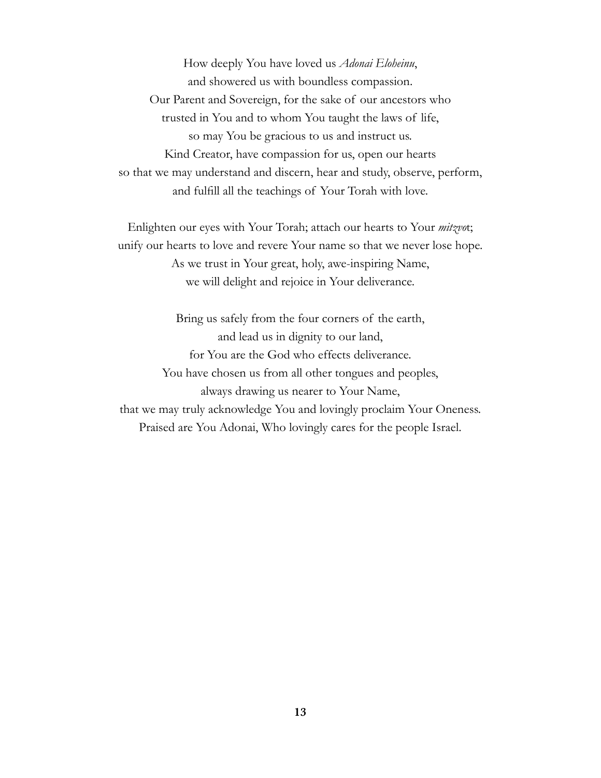How deeply You have loved us *Adonai Eloheinu*, and showered us with boundless compassion. Our Parent and Sovereign, for the sake of our ancestors who trusted in You and to whom You taught the laws of life, so may You be gracious to us and instruct us. Kind Creator, have compassion for us, open our hearts so that we may understand and discern, hear and study, observe, perform, and fulfill all the teachings of Your Torah with love.

Enlighten our eyes with Your Torah; attach our hearts to Your *mitzvo*t; unify our hearts to love and revere Your name so that we never lose hope. As we trust in Your great, holy, awe-inspiring Name, we will delight and rejoice in Your deliverance.

Bring us safely from the four corners of the earth, and lead us in dignity to our land, for You are the God who effects deliverance. You have chosen us from all other tongues and peoples, always drawing us nearer to Your Name, that we may truly acknowledge You and lovingly proclaim Your Oneness. Praised are You Adonai, Who lovingly cares for the people Israel.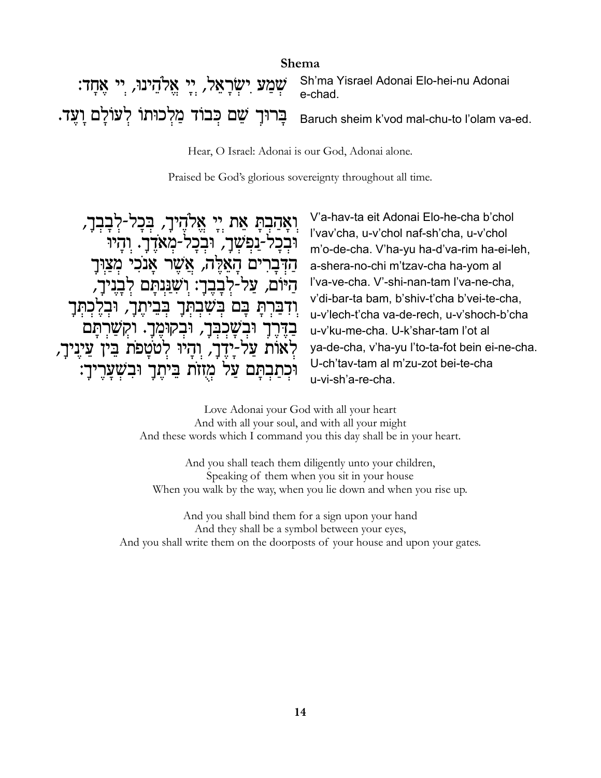| <b>Shema</b>                                                                              |                                                                                              |
|-------------------------------------------------------------------------------------------|----------------------------------------------------------------------------------------------|
| יִשְׁבְעַ יִשְׂרָאֵל, יְיָ אֱלֹהֵינוּ, יִי אֶתְדּ: Sh'ma Yisrael Adonai Elo-hei-nu Adonai |                                                                                              |
|                                                                                           | Baruch sheim k'vod mal-chu-to l'olam va-ed. בְּרוּךָ שֵׁם כְּבוֹד מַלְכוּתוֹ לְעוֹלְם וָעֶד. |

Hear, O Israel: Adonai is our God, Adonai alone.

Praised be God's glorious sovereignty throughout all time.

ואַהַבְתַּ אֵת יֵי אֱלֹהֵיךָ, בְּכַל-לְבַבְךָ, כל-נפשר, ובכל-מאדך. והיו הדברים האלה, אשר אנכי מצוּר היום, על-לבבר: ושננתם לבניר, ודְבַּרִתָּ בָּם בִּשְׁבִתְּךָ בִּבֵיתֵךָ, וּבְלֵכִתְּךָ בדרך ובשכבר, ובקומר. וקשרתם לְאוֹת עַל-יָדֵךָ, וִהָיוּ לְטֹטָפֹת בֵּין עֵינִיךָ, וּכְתַבְתַּם עַל מְזוֹת בֵיתֵך וּבְשָׁעַרֵיךָ: V'a-hav-ta eit Adonai Elo-he-cha b'chol l'vav'cha, u-v'chol naf-sh'cha, u-v'chol m'o-de-cha. V'ha-yu ha-d'va-rim ha-ei-leh, a-shera-no-chi m'tzav-cha ha-yom al l'va-ve-cha. V'-shi-nan-tam l'va-ne-cha, v'di-bar-ta bam, b'shiv-t'cha b'vei-te-cha, u-v'lech-t'cha va-de-rech, u-v'shoch-b'cha u-v'ku-me-cha. U-k'shar-tam l'ot al ya-de-cha, v'ha-yu l'to-ta-fot bein ei-ne-cha. U-ch'tav-tam al m'zu-zot bei-te-cha u-vi-sh'a-re-cha.

Love Adonai your God with all your heart And with all your soul, and with all your might And these words which I command you this day shall be in your heart.

And you shall teach them diligently unto your children, Speaking of them when you sit in your house When you walk by the way, when you lie down and when you rise up.

And you shall bind them for a sign upon your hand And they shall be a symbol between your eyes, And you shall write them on the doorposts of your house and upon your gates.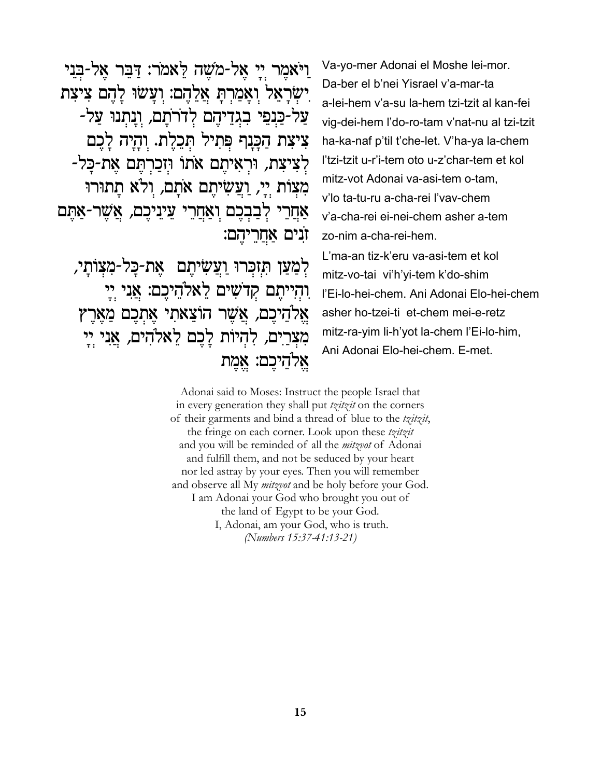וַיֹּאמֵר יִי אֲל-מֹשֶׁה לֵאמֹר: דַּבֵּר אֲל-בָּנֵי ישִׂרַאֲל וַאֲמַרְתַּ אֲלֵהֶם: וְעַשׂוּ לַהֵם צְיצָת על-כַּנִפֵּי בְגִדֵיהֶם לְדֹרֹתֵם, וְנַתְנוּ עַל-צִיצָת הַכַּנַף פִּתְיל תְּכֵלֵת. וְהַיָּה לַכֵם לְצִיצְת, וּרְאִיתֶם אֹתוֹ וּזְכַרְתֶּם אֶת-כַּל-מִצְוֹת יַיָ, וַעֲשִׂיחֵם אֹתַם, וִלֹא תַתוּרוּ אַחֲרֵי לְבַבְכֵם וְאַחֲרֵי עֲינֵיכֶם, אֲשֶׁר-אַתֵּם זנים אחריהם:

למען תַזכָּרוּ ועַשִׂיתֵם -אֲת-כּל-מַצַוֹתי, והייתם קדשים לאלהיכם: אני יי אלהיכם, אשר הוצאתי אתכם מארץ מִצְרֵים, לְהִיוֹת לַבֵם לֵאלֹהִים, אֲנִי יִיַ אלהיכם: אֵמֵת

Va-yo-mer Adonai el Moshe lei-mor. Da-ber el b'nei Yisrael v'a-mar-ta a-lei-hem v'a-su la-hem tzi-tzit al kan-fei vig-dei-hem l'do-ro-tam v'nat-nu al tzi-tzit ha-ka-naf p'til t'che-let. V'ha-ya la-chem l'tzi-tzit u-r'i-tem oto u-z'char-tem et kol mitz-vot Adonai va-asi-tem o-tam. v'lo ta-tu-ru a-cha-rei l'vav-chem v'a-cha-rei ei-nei-chem asher a-tem zo-nim a-cha-rei-hem. L'ma-an tiz-k'eru va-asi-tem et kol mitz-vo-tai vi'h'yi-tem k'do-shim l'Ei-lo-hei-chem. Ani Adonai Elo-hei-chem

asher ho-tzei-ti et-chem mei-e-retz mitz-ra-yim li-h'yot la-chem l'Ei-lo-him, Ani Adonai Elo-hei-chem. E-met.

Adonai said to Moses: Instruct the people Israel that in every generation they shall put *tzitzit* on the corners of their garments and bind a thread of blue to the tzitzit, the fringe on each corner. Look upon these tzitzit and you will be reminded of all the *mitzvot* of Adonai and fulfill them, and not be seduced by your heart nor led astray by your eyes. Then you will remember and observe all My *mitzvot* and be holy before your God. I am Adonai your God who brought you out of the land of Egypt to be your God. I, Adonai, am your God, who is truth. (Numbers 15:37-41:13-21)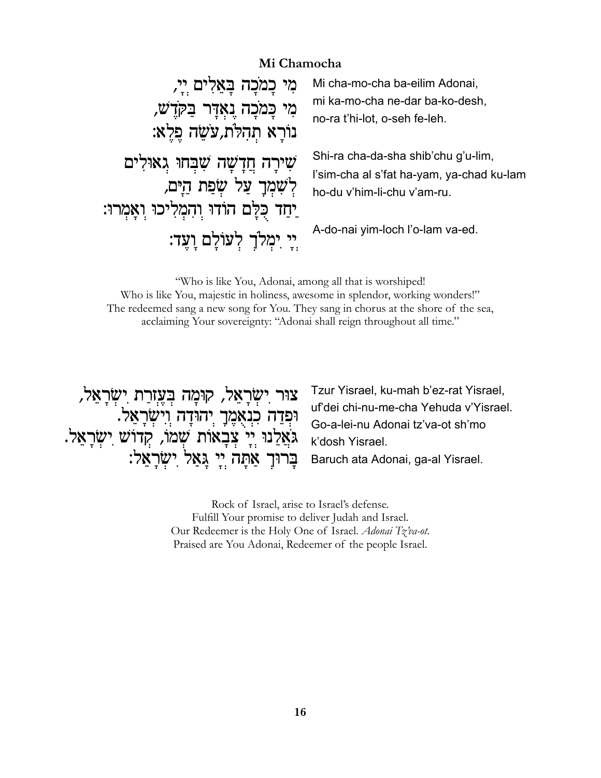#### Mi Chamocha

| מִי כָמֹכָה בָּאֲלִים יְיָ,                 | Mi cha-mo-cha ba-eilim Adonai,            |
|---------------------------------------------|-------------------------------------------|
| מִי כָּמֹכָה נָאֲדָּר בַּקֹּדָשׁ,           | mi ka-mo-cha ne-dar ba-ko-desh,           |
| נוֹרָא תִהְלֹת,עֹשֵׂה פֵלֵא:                | no-ra t'hi-lot, o-seh fe-leh.             |
| שִׁירָה חֲדָשָׁה שִׁבְּחוּ גִאוּלִים        | Shi-ra cha-da-sha shib'chu g'u-lim,       |
| לְשָׁמְךָ עַל שָׂפַת הַיָּם,                | l'sim-cha al s'fat ha-yam, ya-chad ku-lam |
| יַחַד כָּלָם הוֹדוּ וְהָמְלִיכוּ וְאָמְרוּ: | ho-du v'him-li-chu v'am-ru.               |
| יֵי יִמְלֹךְ לְעוֹלַם וַעֲד:                | A-do-nai yim-loch l'o-lam va-ed.          |

"Who is like You, Adonai, among all that is worshiped! Who is like You, majestic in holiness, awesome in splendor, working wonders!" The redeemed sang a new song for You. They sang in chorus at the shore of the sea, acclaiming Your sovereignty: "Adonai shall reign throughout all time."

צוּר יִשְׂרָאֵל, קוּמָה בְּעֶזְרַת יִשְׂרָאֵל, ּוּפְדֵה כִנְאֻמֶךָ יְהוּדָה וְיִשְׂרָאֵל. גֹּאֲלֵנוּ יְיָ צְבָאוֹת שְׁמֹוֹ, קְדוֹשׁ יִשְׂרָאֵל. בְּרוּךְ אַתָּה יְיָ גָאַל יִשְׂרָאֵל:

Tzur Yisrael, ku-mah b'ez-rat Yisrael, uf'dei chi-nu-me-cha Yehuda v'Yisrael. Go-a-lei-nu Adonai tz'va-ot sh'mo k'dosh Yisrael.

Baruch ata Adonai, ga-al Yisrael.

Rock of Israel, arise to Israel's defense. Fulfill Your promise to deliver Judah and Israel. Our Redeemer is the Holy One of Israel. Adonai Tz'va-ot. Praised are You Adonai, Redeemer of the people Israel.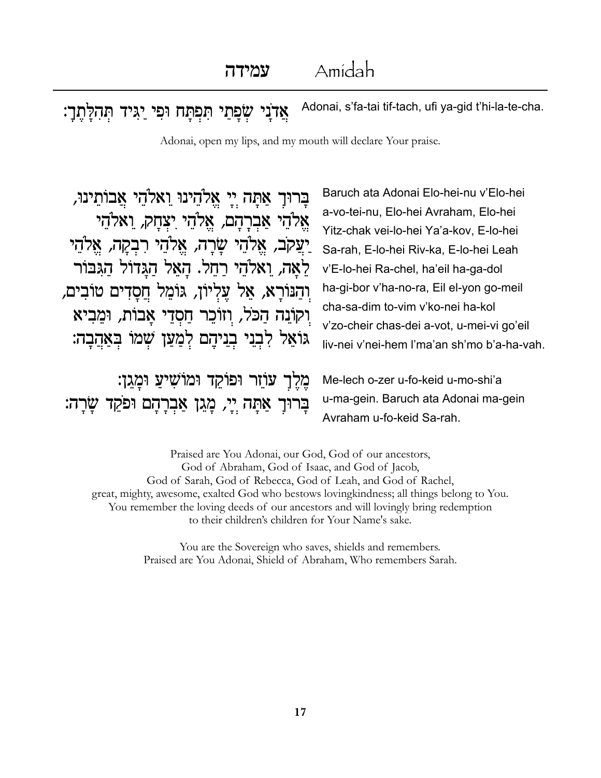Adonai, s'fa-tai tif-tach, ufi ya-gid t'hi-la-te-cha. שפתי תפתח ופי יגיד תהלתך: אדני

Adonai, open my lips, and my mouth will declare Your praise.

בָרוּךָ אַתָּה יִיָ אֱלֹהֵינוּ וַאלֹהֵי אֲבוֹתֵינוּ, אֱלֹהֵי אֲבִרָהָם, אֱלֹהֵי יִצְחָק, וֵאלֹהֵי יַעֲקֹב, אֱלֹהֵי שָׂרָה, אֱלֹהֵי רִבְקָה, אֱלֹהֵי לֵאֲה, וַאלֹהֵי רַחֲל. הַאֲל הַגֲדוֹל הַגִּבּוֹר וִהַנּוֹרָא, אֲל עֲלִיוֹן, גּוֹמֵל חֲסַדִים טוֹבִים, וִקוֹנָה הַכֹּל, וְזוֹכֵר חַסְדֵי אֲבוֹת, וּמֲבִיא גוֹאֵל לְבְנֵי בְנֵיהֵם לְמַעַן שָׁמוֹ בִּאֲהֲבָה:

מֵלֵךְ עֹוֹזֵר וּפוֹקֵד וּמוֹשִׁיעַ וּמַגֵן: בְּרוּךְ אַתָּה יְיָ, מֲגַן אַבְרָהָם וּפֹקֵד שֲׂרַה:

Baruch ata Adonai Elo-hei-nu v'Elo-hei a-vo-tei-nu, Elo-hei Avraham, Elo-hei Yitz-chak vei-lo-hei Ya'a-kov, E-lo-hei Sa-rah, E-lo-hei Riv-ka, E-lo-hei Leah v'E-lo-hei Ra-chel, ha'eil ha-ga-dol ha-gi-bor v'ha-no-ra, Eil el-yon go-meil cha-sa-dim to-vim v'ko-nei ha-kol v'zo-cheir chas-dei a-vot, u-mei-vi go'eil liv-nei v'nei-hem l'ma'an sh'mo b'a-ha-vah.

Me-lech o-zer u-fo-keid u-mo-shi'a u-ma-gein. Baruch ata Adonai ma-gein Avraham u-fo-keid Sa-rah.

Praised are You Adonai, our God, God of our ancestors, God of Abraham, God of Isaac, and God of Jacob, God of Sarah, God of Rebecca, God of Leah, and God of Rachel, great, mighty, awesome, exalted God who bestows loving kindness; all things belong to You. You remember the loving deeds of our ancestors and will lovingly bring redemption to their children's children for Your Name's sake.

> You are the Sovereign who saves, shields and remembers. Praised are You Adonai, Shield of Abraham, Who remembers Sarah.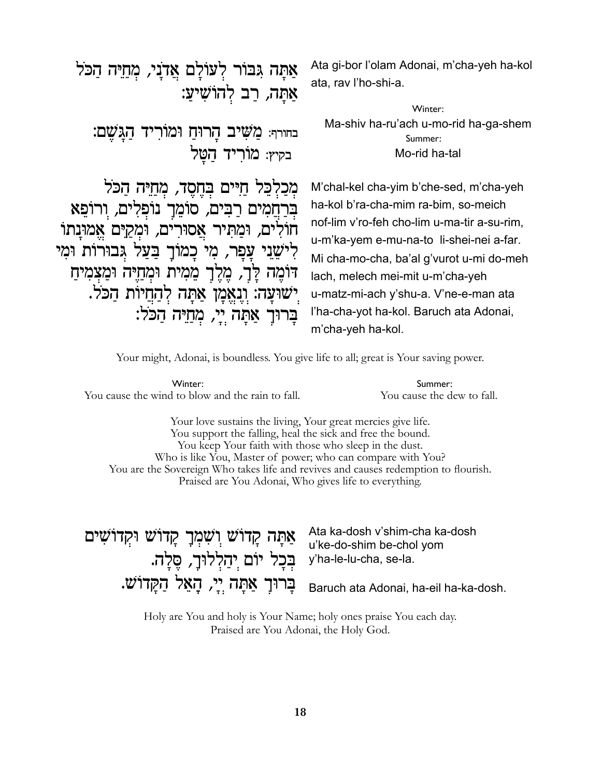Ata gi-bor l'olam Adonai, m'cha-yeh ha-kol אַתַּה גִּבּוֹר לְעוֹלַם אֲדֹנַי, מְחַיֶּה הַכֹּל ata, rav l'ho-shi-a. אַתַּה, רַב לְהוֹשִׁיעַ: Winter: Ma-shiv ha-ru'ach u-mo-rid ha-ga-shem בחורף: מַשִׁיב הָרוּחַ וּמוֹרִיד הַגַּשֵׁם: Summer<sup>.</sup> בקיץ: מׂוריד הטל Mo-rid ha-tal מכלכל חיים בחסד, מחיה הכל M'chal-kel cha-yim b'che-sed, m'cha-yeh בִּרַחֲמִים רַבִּים, סוֹמֵךָ נוֹפְלִים, וִרוֹפֵא ha-kol b'ra-cha-mim ra-bim, so-meich nof-lim v'ro-feh cho-lim u-ma-tir a-su-rim. חולים, ומתיר אסורים, ומקים אמונתו u-m'ka-yem e-mu-na-to li-shei-nei a-far. לִישֵׁנֵי עַפָר, מִי כַמוֹךָ בַּעַל גִּבוּרוֹת וּמִי Mi cha-mo-cha, ba'al g'vurot u-mi do-meh דומה לַך, מֵלֵךְ מֵמִית וּמִחַיָּה וּמֵצִמִיח lach, melech mei-mit u-m'cha-yeh ישוּעָה: וְנָאֵמָן אַתַּה לִהַחַיוֹת הַכֹּל. u-matz-mi-ach y'shu-a. V'ne-e-man ata l'ha-cha-yot ha-kol. Baruch ata Adonai, בַּרוּךְ אַתָּה יֵי, מִחַיֵּה הַכֹּל: m'cha-yeh ha-kol.

Your might, Adonai, is boundless. You give life to all; great is Your saving power.

Winter: You cause the wind to blow and the rain to fall.

Summer: You cause the dew to fall.

Your love sustains the living, Your great mercies give life. You support the falling, heal the sick and free the bound. You keep Your faith with those who sleep in the dust. Who is like You, Master of power; who can compare with You? You are the Sovereign Who takes life and revives and causes redemption to flourish. Praised are You Adonai, Who gives life to everything.

Ata ka-dosh v'shim-cha ka-dosh אַתַּה קַדוֹשׁ וִשְׁמְךָ קַדוֹשׁ וּקְדוֹשִׁים u'ke-do-shim be-chol yom בְּכָל יוֹם יִהַלְלוּךָ, סֵלַה. y'ha-le-lu-cha, se-la.

בְּרוּךְ אַתָּה יְיָ, הָאֵל הַקַּדוֹשׁ. Baruch ata Adonai, ha-eil ha-ka-dosh.

Holy are You and holy is Your Name; holy ones praise You each day. Praised are You Adonai, the Holy God.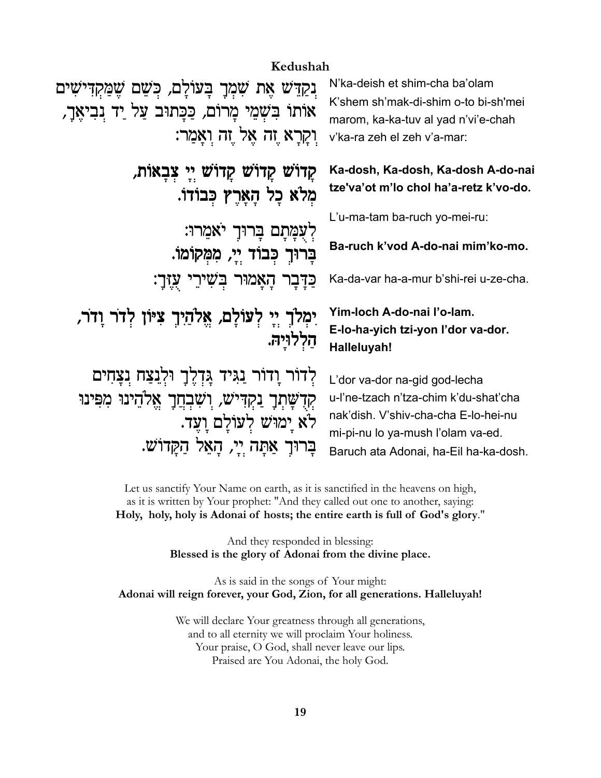## Kedushah

נְקַדֵּשׁ אֶת שִׁמְךָ בְּעוֹלָם, כִּשֵׁם שֵׁמַּקִדִּישִׁים אותו בִשְמֵי מַרוֹם, כַּכַתוּב עַל יַד נִבְיאֲךָ, וִיקַרָא זָה אֱל זֶה וְאֲמָר:

> קַדוֹשׁ קַדוֹשׁ קַדוֹשׁ ײַ צִבְאוֹת, מִלֹא כָל הָאָרֵץ כִּבוֹדוֹ.

> > לעמתם ברוך יאמרו: בָרוּךְ כְּבוֹד יֵיָ, מִמְקוֹמוֹ.

כַּדַּבָר הָאָמוּר בִּשִׁירֵי עֲזֶךָ:

יִמְלֹךְ יִי לְעוֹלַם, אֱלֹהַיְךָ צִיּוֹן לְדֹר וַדֹר, הללויה.

לְדוֹר וַדוֹר נַגִּיד גַּדְלֵךְ וּלְנַצַח נִצַחִים קִדְשָׁתְךָ נַקְדִּישׁ, וִשְׁבְחֲךָ אֱלֹהֵינוּ מִפִּינוּ לא ימוש לעולם ועד. בַרוּךְ אַתַּה יֵי, הַאֱל הַקֲדוֹשׁ.

N'ka-deish et shim-cha ba'olam K'shem sh'mak-di-shim o-to bi-sh'mei marom, ka-ka-tuv al yad n'vi'e-chah v'ka-ra zeh el zeh v'a-mar:

Ka-dosh, Ka-dosh, Ka-dosh A-do-nai tze'va'ot m'lo chol ha'a-retz k'vo-do.

L'u-ma-tam ba-ruch yo-mei-ru:

Ba-ruch k'vod A-do-nai mim'ko-mo.

Ka-da-var ha-a-mur b'shi-rei u-ze-cha.

## Yim-loch A-do-nai l'o-lam. E-lo-ha-yich tzi-yon l'dor va-dor. Halleluyah!

L'dor va-dor na-gid god-lecha u-l'ne-tzach n'tza-chim k'du-shat'cha nak'dish. V'shiv-cha-cha E-lo-hei-nu mi-pi-nu lo ya-mush l'olam va-ed. Baruch ata Adonai, ha-Eil ha-ka-dosh.

Let us sanctify Your Name on earth, as it is sanctified in the heavens on high, as it is written by Your prophet: "And they called out one to another, saying: Holy, holy, holy is Adonai of hosts; the entire earth is full of God's glory."

> And they responded in blessing: Blessed is the glory of Adonai from the divine place.

As is said in the songs of Your might: Adonai will reign forever, your God, Zion, for all generations. Halleluyah!

> We will declare Your greatness through all generations, and to all eternity we will proclaim Your holiness. Your praise, O God, shall never leave our lips. Praised are You Adonai, the holy God.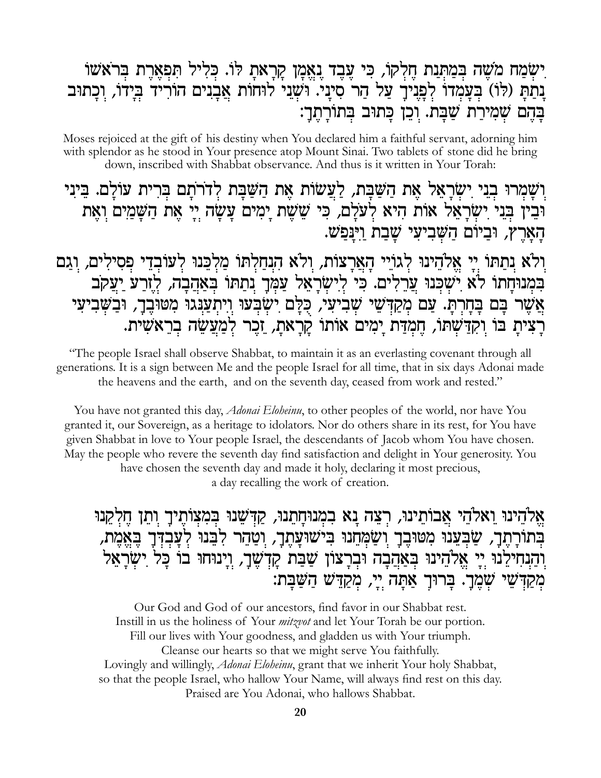# יִשְׂמַח מֹשֶׁה בִּמַתְּנַת חֵלְקוֹ, כִּי עֲבֵד נֵאֱמַן קַרָאת לּוֹ. כִּלִיל תִּפְאֶרֶת בְּרֹאשׁוֹ נתת (לו) בעמדו לפניך על הר סיני. ושני לוחות אבנים הוריד בידו, וכתוב בַּהֵם שָׁמִירַת שַׁבַּת. וִכֵן כַּתוּב בִּתוֹרָתֶךָ:

Moses rejoiced at the gift of his destiny when You declared him a faithful servant, adorning him with splendor as he stood in Your presence atop Mount Sinai. Two tablets of stone did he bring down, inscribed with Shabbat observance. And thus is it written in Your Torah:

וִשָּׁמְרוּ בְנֵי יִשְׂרָאֵל אֶת הַשַּׁבַּת, לַעֲשׂוֹת אֶת הַשַּׁבַּת לְדֹרֹתַם בְּרִית עוֹלַם. בֵּינִי וּבִין בִּנִי יִשְׂרָאֵל אוֹת הִיא לְעֹלָם, כִּי שֵׁשֵׁת יָמִים עֲשָׂה יִיָ אֶת הַשָּׁמַיִם וְאֶת הארץ, וביום השביעי שבת וינפש.

וִלֹא נִתַּתּוֹ יִיַ אֲלֹהֵינוּ לְגוֹיֵי הָאֲרָצוֹת, וְלֹא הִנְחַלְתּוֹ מַלְבֵּנוּ לְעוֹבְדֵי פְסִילִים, וְגַם בִּמְנוּחָתוֹ לֹא יִשְׁכְּנוּ עֲרֵלִים. כִּי לִישָׂרָאֵל עַמְּךָ נִתַּתּוֹ בִּאַהֲבָה, לִזְרַעֹּ יַעַקֹּב אֲשֶׁר בָּם בָּחָרְתָּ. עַם מְקַדְּשֵׁי שָׁבִיעִי, כְּלָם יִשְׂבְעוּ וְיִתְעַנִּגוּ מִטּוּבֶךָ, וּבַשְּׁבִיעִי רַצִית בּוֹ וַקְדַּשָׁתּוֹ, חֲמְדַּת יַמִים אוֹתוֹ קַרַאת, זֶכֶר לְמַעֲשֶׂה בְרֵאשִׁית.

"The people Israel shall observe Shabbat, to maintain it as an everlasting covenant through all generations. It is a sign between Me and the people Israel for all time, that in six days Adonai made the heavens and the earth, and on the seventh day, ceased from work and rested."

You have not granted this day, *Adonai Eloheinu*, to other peoples of the world, nor have You granted it, our Sovereign, as a heritage to idolators. Nor do others share in its rest, for You have given Shabbat in love to Your people Israel, the descendants of Jacob whom You have chosen. May the people who revere the seventh day find satisfaction and delight in Your generosity. You have chosen the seventh day and made it holy, declaring it most precious, a day recalling the work of creation.

אַלהֵינוּ וַאלֹהֵי אֲבוֹתֵינוּ, רִצֵה נַא בִמְנוּחָתֵנוּ, קַדְּשֵׁנוּ בִּמִצְוֹתֶיךָ וְתֵן חֶלְקֵנוּ בְּתוֹרָתֵךָ, שַׁבְּעֵנוּ מְטוּבֵךָ וִשַּׂמְחֵנוּ בִישׁוּעַתֵךָ, וִטֲהֵר לְבֵנוּ לְעַבְדְּךָ בֵאֱמֶת, וֹהַנִחִילֵנוּ יִיַ אֱלֹהֵינוּ בִּאַהֲבָה וּבְרָצוֹן שַׁבַּת קִדְשֶׁךָ, וְיָנוּחוּ בוֹ כָּל יִשְׂרָאֵל מְקַדְּשֵׁי שְׁמֵךָ. בְּרוּךְ אַתַּה יֵי, מְקַדֵּשׁ הַשֲּׁבַת:

Our God and God of our ancestors, find favor in our Shabbat rest. Instill in us the holiness of Your *mitzvot* and let Your Torah be our portion. Fill our lives with Your goodness, and gladden us with Your triumph. Cleanse our hearts so that we might serve You faithfully. Lovingly and willingly, *Adonai Eloheinu*, grant that we inherit Your holy Shabbat, so that the people Israel, who hallow Your Name, will always find rest on this day. Praised are You Adonai, who hallows Shabbat.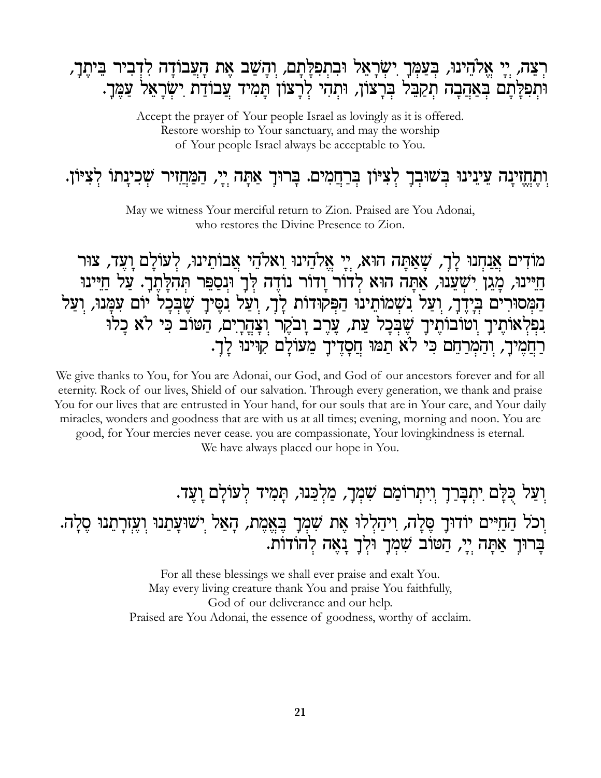# רְצֶה, יֵי אֱלֹהֵינוּ, בִּעֲמֶךָ יִשְׂרָאֱל וּבְתִפְלַּתַם, וִהָשֶׁב אֶת הַעֲבוֹדָה לִדְבִיר בֵּיתֵךָ, וּתִפִלָּתָם בְּאַהֲבָה תְקַבֵּל בִּרְצוֹן, וּתְהִי לְרָצוֹן תָּמִיד עֲבוֹדַת יִשְׂרָאֵל עַמֶּךָ.

Accept the prayer of Your people Israel as lovingly as it is offered. Restore worship to Your sanctuary, and may the worship of Your people Israel always be acceptable to You.

# וִתַּחֲזִינַה עֵינֵינוּ בִּשׁוּבְךָ לְצִיּוֹן בְּרַחֲמִים. בַּרוּךָ אַתָּה יָיָ, הַמַּחֲזִיר שָׁכִינָתוֹ לְצִיּוֹן.

May we witness Your merciful return to Zion. Praised are You Adonai, who restores the Divine Presence to Zion.

מוֹדִים אֲנַחִנוּ לָךָ, שָׁאַתָּה הוּא, יִי אֵלֹהֵינוּ וַאלֹהֵי אֲבוֹתֵינוּ, לִעוֹלָם וַעֵּד, צוּר חַיִּינוּ, מָגֵן יִשְׁעֲנוּ, אַתָּה הוּא לְדוֹר וָדוֹר נוֹדֶה לְּךָ וּנִסַפֵּר תְּהִלָּתֶךָ. עַל חַיִּינוּ הַמְסוּרִים בִידֵך, וַעֲל נִשְמוֹתֵינוּ הַפִּקוּדוֹת לַרָ, וְעַל נִסֵיךָ שֵׁבְכָל יוֹם עִמֲנוּ, וִעַל נִפְלְאוֹתֶיךָ וְטוֹבוֹתֶיךָ שֶׁבִּכָל עֵת, עֲרֵב וָבֹקֵר וִצָּהֲרֵים, הַטּוֹב כִּי לֹא כַלוּ רחמיך, והמרחם כי לא תמו חסדיך מעולם קוינו לך.

We give thanks to You, for You are Adonai, our God, and God of our ancestors forever and for all eternity. Rock of our lives, Shield of our salvation. Through every generation, we thank and praise You for our lives that are entrusted in Your hand, for our souls that are in Your care, and Your daily miracles, wonders and goodness that are with us at all times; evening, morning and noon. You are good, for Your mercies never cease. you are compassionate, Your loving kindness is eternal.

We have always placed our hope in You.

וִעַל כְּלָם יִתְבָּרַךְ וִיתִרוֹמַם שִׁמְרָ, מַלְבֵּנוּ, תַּמְיד לְעוֹלַם וַעֵּד. וִכֹל הַחַיִּים יוֹדוּךָ סֵּלֵה, וִיהַלִּלוּ אֵת שִׁמְךָ בֵּאֲמֵת, הָאֵל יִשׁוּעֲתֵנוּ וְעֶזְרָתֵנוּ סֶלָה. ברוך אתה יי, הטוב שמך ולך נאה להודות.

> For all these blessings we shall ever praise and exalt You. May every living creature thank You and praise You faithfully, God of our deliverance and our help. Praised are You Adonai, the essence of goodness, worthy of acclaim.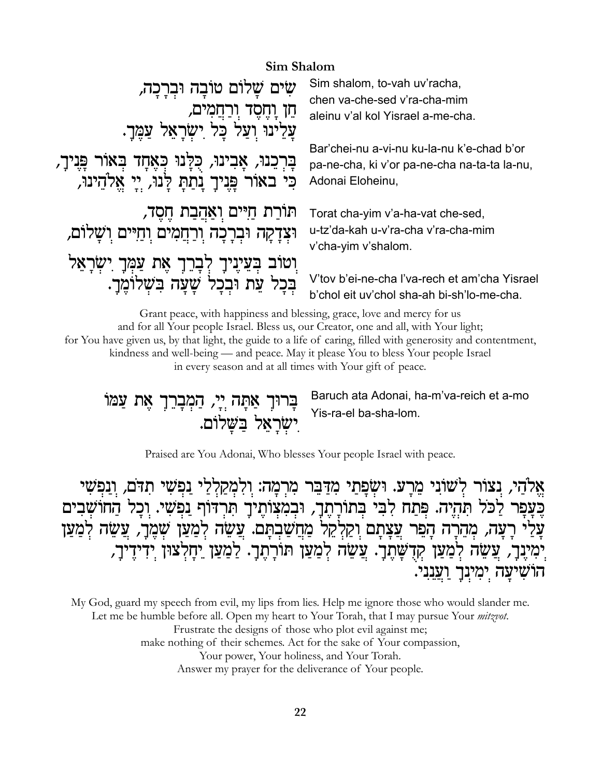## Sim Shalom

| שים שלום טובה וברכה,<br>חֵן וָחֶסֶד וְרַחֲמִים,<br>עַלֵינוּ וִעַל כָּל יִשְׂרָאֵל עַמֶּךָ. | Sim shalom, to-vah uv'racha,<br>chen va-che-sed v'ra-cha-mim<br>aleinu v'al kol Yisrael a-me-cha.<br>Bar'chei-nu a-vi-nu ku-la-nu k'e-chad b'or |
|--------------------------------------------------------------------------------------------|-------------------------------------------------------------------------------------------------------------------------------------------------|
| בַּרִכֲנוּ, אָבִינוּ, כְּלָנוּ כְּאֶחָד בְּאוֹר פְּנִיךָ,                                  | pa-ne-cha, ki v'or pa-ne-cha na-ta-ta la-nu,                                                                                                    |
| כִּי באוֹר פָּנִיךָ נָתַתְּ לְנוּ, יִי אֱלֹהֵינוּ,                                         | Adonai Eloheinu,                                                                                                                                |
| תּוֹרַת חַיִּים וְאַהֲבַת חֶסֶד,<br>וּצְדָקָה וּבְרָכָה וְרַחֲמִים וְחַיּים וִשָּׁלוֹם,    | Torat cha-yim v'a-ha-vat che-sed,<br>u-tz'da-kah u-v'ra-cha v'ra-cha-mim<br>v'cha-yim v'shalom.                                                 |
| וְטוֹב בְּעֵיֶנִיךָ לְבָרֵךְ אֶת עַמְּךָ יִשְׂרָאֵל                                        | V'tov b'ei-ne-cha l'va-rech et am'cha Yisrael                                                                                                   |
| בכל עת ובכל שעה בשלומך.                                                                    | b'chol eit uv'chol sha-ah bi-sh'lo-me-cha.                                                                                                      |

Grant peace, with happiness and blessing, grace, love and mercy for us and for all Your people Israel. Bless us, our Creator, one and all, with Your light; for You have given us, by that light, the guide to a life of caring, filled with generosity and contentment, kindness and well-being — and peace. May it please You to bless Your people Israel in every season and at all times with Your gift of peace.

בָּרוּךָ אַתָּה יְיָ, הַמְבָרֵךָ אֶת עַמּוֹ ישראל בשלום. Baruch ata Adonai, ha-m'va-reich et a-mo Yis-ra-el ba-sha-lom.

Praised are You Adonai, Who blesses Your people Israel with peace.

אֱלֹהַי, נִצוֹר לְשׁוֹנִי מֵרָעּ. וּשְׂפָתַי מִדַּבֵּר מִרְמָה: וְלִמְקַלְלַי נַפְשִׁי תִדֹּם, וְנַפְשִׁי בֶּעֲפָר לַכֹּל תִּהְיֶה. פְּתַח לִבִּי בְתוֹרָתֶךָ, וּבְמִצְוֹתֶיךָ תִּרְדּוֹף נַפְשִׁי. וְכָל הַחוֹשָׁבִים עָלֵי רָעָה, מְהֵרָה הָפֵר עֲצָתָם וִקַלְקֵל מַחֲשַׁבִתָּם. עֲשָׂה לִמַעַן שִׁמֵרָ, עֲשֶׂה לִמַעַן יְמִייָּבָרָ, צֲשֵׂה לְמַעַן קְדָשָׁתֶךָ. צֲשֵׂה לְמַעַן תּוֹרָתֶךָ. לַמַעַן יַחָלְצוּן יִדִידֶיךָ, הושִיעַה יִמְיִנְךָ וַעֲנִנִי.

My God, guard my speech from evil, my lips from lies. Help me ignore those who would slander me. Let me be humble before all. Open my heart to Your Torah, that I may pursue Your *mitzvot*. Frustrate the designs of those who plot evil against me; make nothing of their schemes. Act for the sake of Your compassion, Your power, Your holiness, and Your Torah. Answer my prayer for the deliverance of Your people.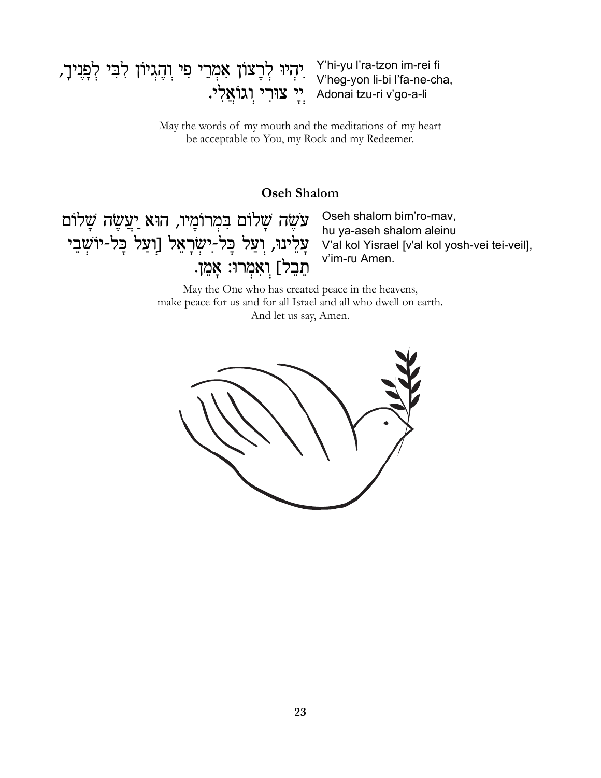# יִהְיוּ לְרָצוֹן אָמְרֵי פִי וְהֶגְיוֹן לְבִי לְפָנִיךָ, Y'hi-yu l'ra-tzon im-rei fi<br>V'heg-yon li-bi l'fa-ne-cha, י צוּרִי וְגוֹאֲלִי. Adonai tzu-ri v'go-a-li

May the words of my mouth and the meditations of my heart be acceptable to You, my Rock and my Redeemer.

#### **Oseh Shalom**

עֹשֵׂה שָׁלוֹם בִּמְרוֹמָיו, הוּא יַעֲשֶׂה שָׁלוֹם עֲלֵינוּ, וְעַל כָּל-יִשְׂרָאֵל [וְעַל כָּל-יוֹשָֽׁבֵי תֵבֵל] וִאָמְרוּ: אֲמֵן.

Oseh shalom bim'ro-mav, hu ya-aseh shalom aleinu V'al kol Yisrael [v'al kol yosh-vei tei-veil], v'im-ru Amen.

May the One who has created peace in the heavens, make peace for us and for all Israel and all who dwell on earth. And let us say, Amen.

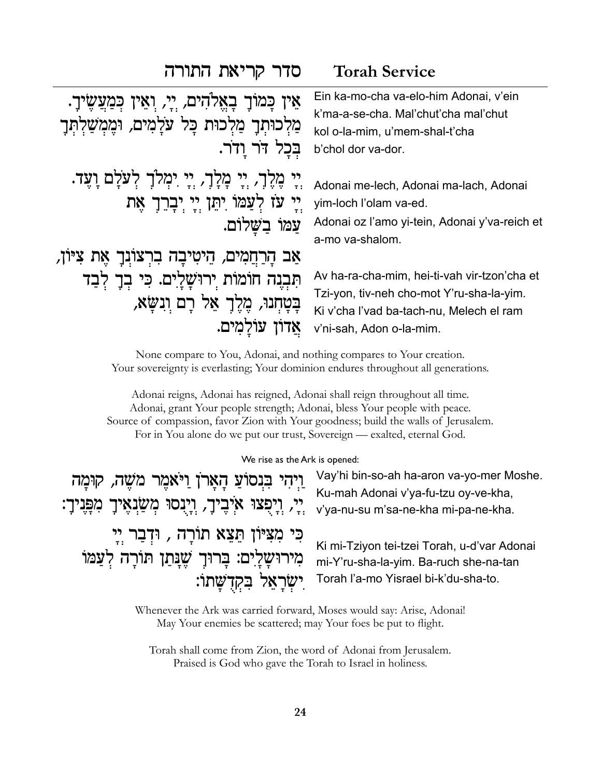## סדר קריאת התורה

## **Torah Service**

| אֵין כָּמוֹךָ בָאֱלֹהִים, יְיָ, וְאֵין כִּמַעֲשֶׂיךָ.<br>מַלִכוּתִךָ מַלִכוּת כָּל עֹלָמִים, וּמֶמְשַׁלְתְּךָ<br>בַכל דֹר ודֹר. | Ein ka-mo-cha va-elo-him Adonai, v'ein<br>k'ma-a-se-cha. Mal'chut'cha mal'chut<br>kol o-la-mim, u'mem-shal-t'cha<br>b'chol dor va-dor.                            |
|---------------------------------------------------------------------------------------------------------------------------------|-------------------------------------------------------------------------------------------------------------------------------------------------------------------|
| יְיָ מֶלֶךָ, יְיָ מָלָךָ, יְיָ יִמְלֹךָ לְעֹלָם וָעֶד.<br>יי עז לְעַמֹוֹ יִתֵן יִי יִבָרֵךְ אֵת<br>עמו בשלום.                   | Adonai me-lech, Adonai ma-lach, Adonai<br>yim-loch l'olam va-ed.<br>Adonai oz l'amo yi-tein, Adonai y'va-reich et<br>a-mo va-shalom.                              |
| אַב הָרַחֲמִים, הֵיטִיבָה בִרְצוֹנְךָ אֶת צִיּוֹן,                                                                              |                                                                                                                                                                   |
| תִּבְנָה חוֹמוֹת יְרוּשָׁלְיִם. כִּי בְךָ לְבַד<br>בָטְחְנוּ, מֶלֶךְ אֵל רָם וְנִשָּׁא,<br>' עוֹלמים.                           | Av ha-ra-cha-mim, hei-ti-vah vir-tzon'cha et<br>Tzi-yon, tiv-neh cho-mot Y'ru-sha-la-yim.<br>Ki v'cha l'vad ba-tach-nu, Melech el ram<br>v'ni-sah, Adon o-la-mim. |

None compare to You, Adonai, and nothing compares to Your creation. Your sovereignty is everlasting; Your dominion endures throughout all generations.

Adonai reigns, Adonai has reigned, Adonai shall reign throughout all time. Adonai, grant Your people strength; Adonai, bless Your people with peace. Source of compassion, favor Zion with Your goodness; build the walls of Jerusalem. For in You alone do we put our trust, Sovereign — exalted, eternal God.

#### We rise as the Ark is opened:

וַיְהִי בִּנְסוֹעַ הָאֲרֹן וַיֹּאמֶר מֹשֶׁה, קוּמָה יֶי, וְיָפָצוּ אִיְבָיךָ, וְיָנְסוּ מְשַׂנְאֶיךָ מִפְּנִיךָ: כִּי מִצִּיּוֹן תֵּצֵא תוֹרָה , וּדְבַר יְיָ מִירוּשָׁלָיִם: בְּרוּךָ שֶׁנָּתַן תּוֹרָה לְעַמֹוֹ יִשְׂרָאֵל בְּקִדְשָׁתוֹ:

Vay'hi bin-so-ah ha-aron va-yo-mer Moshe. Ku-mah Adonai v'ya-fu-tzu oy-ve-kha, v'ya-nu-su m'sa-ne-kha mi-pa-ne-kha.

Ki mi-Tziyon tei-tzei Torah, u-d'var Adonai mi-Y'ru-sha-la-yim. Ba-ruch she-na-tan Torah l'a-mo Yisrael bi-k'du-sha-to.

Whenever the Ark was carried forward, Moses would say: Arise, Adonai! May Your enemies be scattered; may Your foes be put to flight.

Torah shall come from Zion, the word of Adonai from Jerusalem. Praised is God who gave the Torah to Israel in holiness.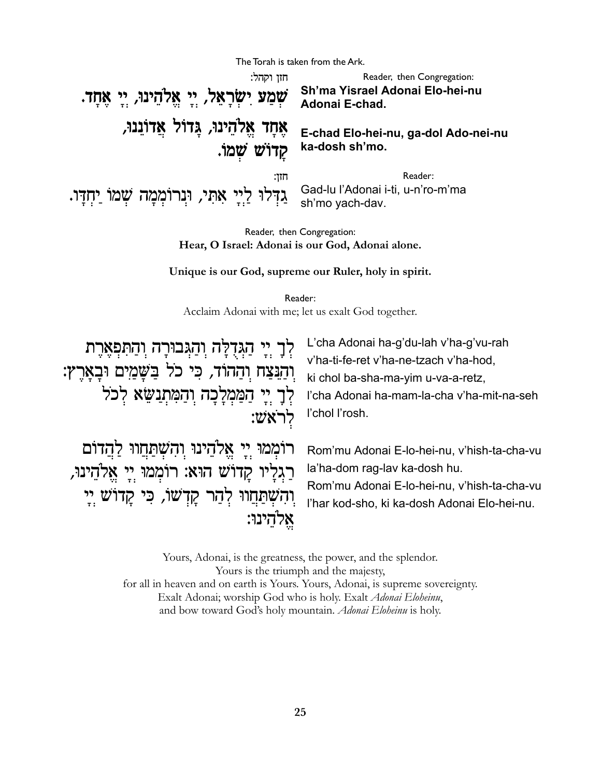The Torah is taken from the Ark. חזו וקהל: Reader, then Congregation: Sh'ma Yisrael Adonai Elo-hei-nu שְמַע יִשְׂרָאֵל, יֵי אֲלֹהֵינוּ, יֵי אֲחָד. Adonai E-chad. אֵחַד אֱלֹהֵינוּ, גַּדוֹל אֲדוֹנֵנוּ, E-chad Elo-hei-nu, ga-dol Ado-nei-nu קַדוֹשׁ שַׁמוֹ. ka-dosh sh'mo. חזו: Reader: Gad-lu l'Adonai i-ti, u-n'ro-m'ma גַדְּלוּ לַיַיָ אָתְי, וּנִרוֹמְמָה שָׁמוֹ יַחְדָּו. sh'mo yach-dav.

> Reader, then Congregation: Hear, O Israel: Adonai is our God, Adonai alone.

Unique is our God, supreme our Ruler, holy in spirit.

Reader: Acclaim Adonai with me; let us exalt God together.

לֶךָ יֵי הַגִּדְלָּה וְהַגִּבוּרָה וְהַתִּפְאֵרֵת והנצח וההוד, כי כל בשמים ובארץ: לְךָ יִי הַמַּמְלַכָה וְהַמְתְנַשֵּׂא לְכֹל :לראש

L'cha Adonai ha-g'du-lah v'ha-g'vu-rah v'ha-ti-fe-ret v'ha-ne-tzach v'ha-hod, ki chol ba-sha-ma-yim u-va-a-retz, l'cha Adonai ha-mam-la-cha v'ha-mit-na-seh l'chol l'rosh.

רוֹמְמוּ יִיָ אֱלֹהֵינוּ וְהָשְׁתַּחֲווּ לַהֲדוֹם רַגִלַיו קַדוֹשׁ הוּא: רוֹמְמוּ יֵי אֱלֹהֵינוּ, והשתחוו להר קדשו, כי קדוש יי אֵלהֵינוּ:

Rom'mu Adonai E-lo-hei-nu, v'hish-ta-cha-vu la'ha-dom rag-lav ka-dosh hu.

Rom'mu Adonai E-lo-hei-nu, v'hish-ta-cha-vu l'har kod-sho, ki ka-dosh Adonai Elo-hei-nu.

Yours, Adonai, is the greatness, the power, and the splendor. Yours is the triumph and the majesty, for all in heaven and on earth is Yours. Yours, Adonai, is supreme sovereignty. Exalt Adonai; worship God who is holy. Exalt Adonai Eloheinu, and bow toward God's holy mountain. Adonai Eloheinu is holy.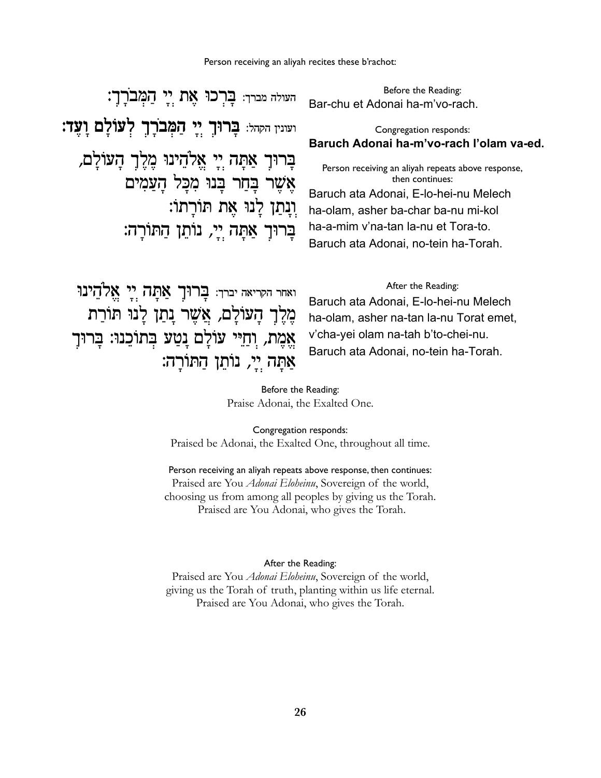העולה מברך: **בֲּרְכוּ אֵת יִי הַמְּב**רָךָ: ועונין הקהל: **בְּרוּךְ יִי הַמְּבוֹרָךְ לְעֹוֹלַם וַעֲד:** בָרוּךָ אַתָּה יִי אֱלֹהֵינוּ מֵלֵךְ הַעוֹלַם,  $\bm{x}$ אֲשֶׁר בַּחַר בַּנוּ מְכַל הַעַמִים †††††††††††††††††∫«˙À¯«z†˙Œ‡†eÀφÔÃ˙ÀŸÂ בַרוּךְ אַתַּה יֵיַ, נוֹתֵן הַתּוֹרַה:

Before the Reading: Bar-chu et Adonai ha-m'vo-rach.

#### Congregation responds: **Baruch Adonai ha-m'vo-rach l'olam va-ed.**

Person receiving an aliyah repeats above response, then continues: Baruch ata Adonai, E-lo-hei-nu Melech ha-olam, asher ba-char ba-nu mi-kol ha-a-mim v'na-tan la-nu et Tora-to. Baruch ata Adonai, no-tein ha-Torah.

ואחר הקריאה יברך: בֲרוּךָ אֲמָה יְיָ אֱלֹהֵינוּ מֶלֶך הַעּוֹלַם, אֲשֶר נַתַן לַנוּ תּוֹרַת אֲמֶת, וְחַיִּי עוֹלַם נַטֲע בְּתוֹכֵנוּ: בַּרוּךָ אַמַה יֵי, נוֹתֵן הַתּוֹרֵה: After the Reading:

Baruch ata Adonai, E-lo-hei-nu Melech ha-olam, asher na-tan la-nu Torat emet, v'cha-yei olam na-tah b'to-chei-nu. Baruch ata Adonai, no-tein ha-Torah.

Before the Reading: Praise Adonai, the Exalted One.

Congregation responds: Praised be Adonai, the Exalted One, throughout all time.

Person receiving an aliyah repeats above response, then continues: Praised are You *Adonai Eloheinu*, Sovereign of the world, choosing us from among all peoples by giving us the Torah. Praised are You Adonai, who gives the Torah.

#### After the Reading:

Praised are You *Adonai Eloheinu*, Sovereign of the world, giving us the Torah of truth, planting within us life eternal. Praised are You Adonai, who gives the Torah.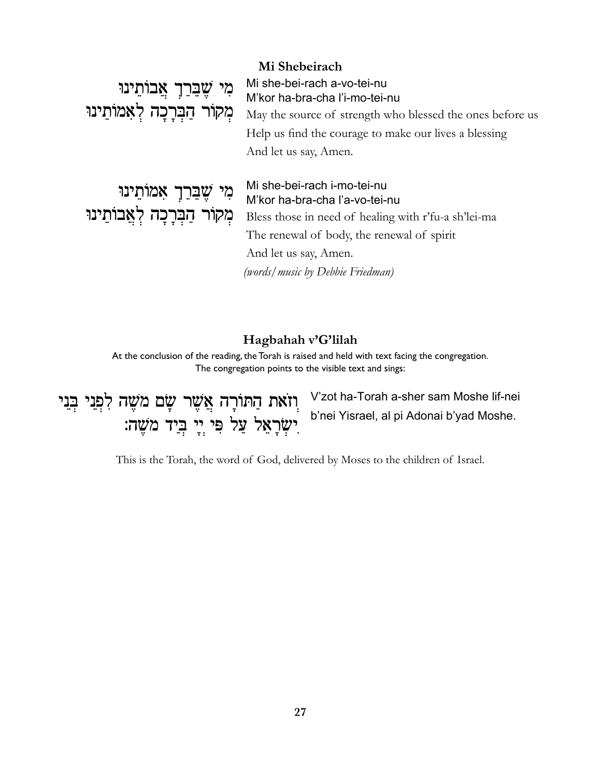### Mi Shebeirach

מִי שֶׁבֵּרַךְ אֲבוֹתֵינוּ מְקוֹר הַבְרָכָה לְאָמוֹתֵינוּ Mi she-bei-rach a-vo-tei-nu M'kor ha-bra-cha l'i-mo-tei-nu May the source of strength who blessed the ones before us Help us find the courage to make our lives a blessing And let us say, Amen.

מִי שֵׁבֵּרַךְ אָמוֹתֵינוּ מְקוֹר הַבְּרָכָה לְאֲבוֹתֵינוּ

### Mi she-bei-rach i-mo-tei-nu M'kor ha-bra-cha l'a-vo-tei-nu

Bless those in need of healing with r'fu-a sh'lei-ma The renewal of body, the renewal of spirit And let us say, Amen. (words/music by Debbie Friedman)

## Hagbahah v'G'lilah

At the conclusion of the reading, the Torah is raised and held with text facing the congregation. The congregation points to the visible text and sings:

וְזֹאת הַתּוֹרָה אֲשֶׁר שָׂם מֹשֶׁה לִפְנִי בְּנֵי יִשְׂרָאֵל עַל פִּי יֵי בְּיַד מֹשֵׁה: V'zot ha-Torah a-sher sam Moshe lif-nei b'nei Yisrael, al pi Adonai b'yad Moshe.

This is the Torah, the word of God, delivered by Moses to the children of Israel.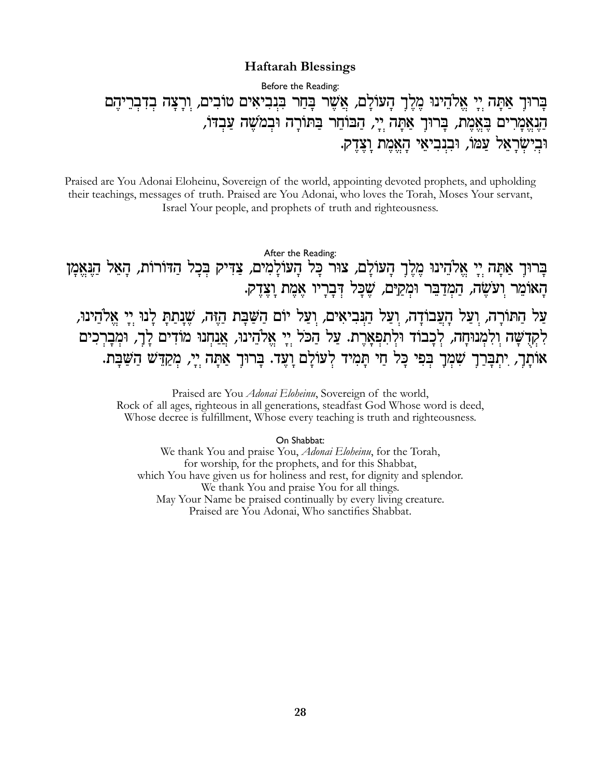#### **Haftarah Blessings**

Before the Reading:

בַרוּך אַתַּה יַי אֵלֹהֵינוּ מֵלֵךְ הַעוֹלַם, אֲשֶׁר בָּחַר בִּנְבִיאִים טוֹבִים, וְרָצָה בְדִבְרֵיהֶם הַנְאֲמַרִים בֵּאֱמֵת, בַּרוּךָ אַתַּה יֵי, הַבּוֹחֵר בַּתּוֹרָה וּבְמֹשֵׁה עַבְדּוֹ, וּבִישִׂרָאֵל עַמוֹ, וּבִנִבִיאֵי הָאֱמֶת וַצֵדֵק.

Praised are You Adonai Eloheinu, Sovereign of the world, appointing devoted prophets, and upholding their teachings, messages of truth. Praised are You Adonai, who loves the Torah, Moses Your servant, Israel Your people, and prophets of truth and righteousness.

After the Reading: בַרוּך אַתָּה יִי אֱלֹהֵינוּ מֵלֵךְ הָעוֹלָם, צוּר כָּל הָעוֹלָמִים, צַדִּיק בִּכָל הַדּוֹרוֹת, הָאֵל הַנֵּאֵמָן הַאוֹמֵר וִעֹשָׂה, הַמְדַבֵּר וּמְקַיּם, שֵׁכַּל דְּבַרַיו אֲמֶת וַצֵּדֵק. עַל הַתּוֹרָה, וִעַל הָעֲבוֹדָה, וִעַל הַנִּבִיאִים, וִעַל יוֹם הַשַּׁבַּת הַזֶּה, שֵׁנַתַתַּ לָנוּ יִיַ אֱלֹהֵינוּ, לִקְדָשָׁה וְלִמְנוּחַה, לְכַבוֹד וּלְתִפְאַרֵת. עַל הַכֹּל יַיַ אֱלֹהֵינוּ, אֲנַחְנוּ מוֹדִים לָךָ, וּמְבָרְכִים אוֹתַך, יִתְבַּרַךְ שִׁמְּךָ בִּפִּי כָּל חַי תַּמִיד לְעוֹלָם וָעֶד. בָּרוּךָ אַתָּה יְיָ, מְקַדֵּשׁ הַשַּׁבָּת.

> Praised are You *Adonai Eloheinu*, Sovereign of the world, Rock of all ages, righteous in all generations, steadfast God Whose word is deed, Whose decree is fulfillment, Whose every teaching is truth and righteousness.

> > On Shabbat:

We thank You and praise You, *Adonai Eloheinu*, for the Torah, for worship, for the prophets, and for this Shabbat, which You have given us for holiness and rest, for dignity and splendor. We thank You and praise You for all things. May Your Name be praised continually by every living creature. Praised are You Adonai, Who sanctifies Shabbat.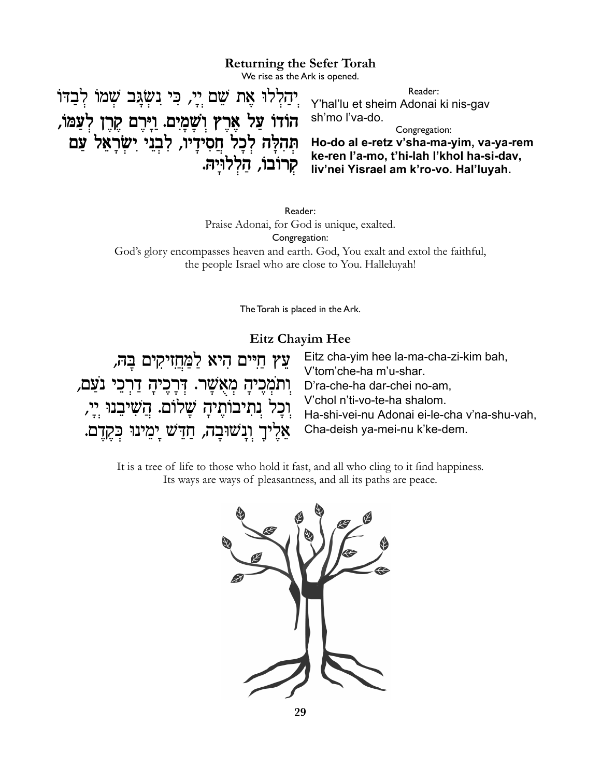#### **Returning the Sefer Torah**

We rise as the Ark is opened.

יְהַלְלוּ אֶת שֵׁם יְיָ, כִּי נִשְׂגַּב שְׁמוֹ לִבַדוֹ Reader: Y'hal'lu et sheim Adonai ki nis-gav הוֹדוֹ עַל אֲרֵץ וִשָּׁמָיִם. וַיַּרֵם קֵרֵן לְעַמּוֹ, sh'mo l'va-do. Congregation: Ho-do al e-retz v'sha-ma-yim, va-ya-rem תְהָלָה לְכַל חֲסִידַיוֹ, לְבְנֵי יִשְׂרַאֵל עֲם ke-ren l'a-mo, t'hi-lah l'khol ha-si-dav, קרובו, הַלְלוּיַהּ. liv'nei Yisrael am k'ro-vo. Hal'luyah.

> Reader: Praise Adonai, for God is unique, exalted. Congregation: God's glory encompasses heaven and earth. God, You exalt and extol the faithful, the people Israel who are close to You. Halleluyah!

> > The Torah is placed in the Ark.

#### Eitz Chayim Hee

Eitz cha-yim hee la-ma-cha-zi-kim bah, ַעֲץ חַיִּים הִיא לַמֲחֲזִיקִים בַּהּ, V'tom'che-ha m'u-shar. ַוְתֹמְכָיהָ מְאֻשָׁר. דְּרָכֶיהָ דַרְכֵי נֹצַם, D'ra-che-ha dar-chei no-am. V'chol n'ti-vo-te-ha shalom. וִכָל נִתִיבוֹתֶיהָ שָׁלוֹם. הֲשִׁיבֵנוּ יְיָ, Ha-shi-vei-nu Adonai ei-le-cha v'na-shu-vah, Cha-deish ya-mei-nu k'ke-dem. אֵלֵיךָ וְנַשׁוּבָה, חַדֵּשׁ יַמֵינוּ כִּקֵדֶם.

It is a tree of life to those who hold it fast, and all who cling to it find happiness. Its ways are ways of pleasantness, and all its paths are peace.

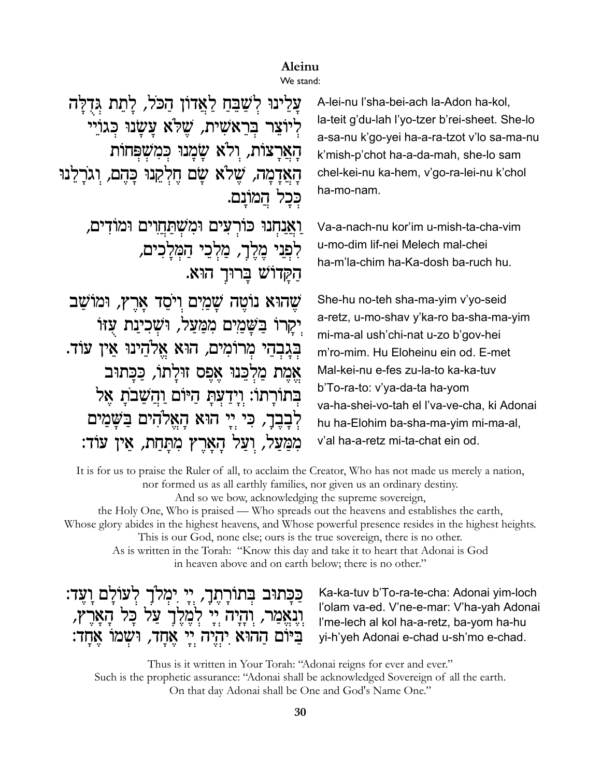## Aleinu

### We stand:

עַלֵינוּ לְשָׁבֵּחַ לַאֲדוֹן הַכֹּל, לַתֵת גִּדְלַה לִיוֹצֵר בְּרֵאֹשִׁית, שֱלֹּא עַשֲׂנוּ כְּגוֹיֵי הַאֲרַצוֹת, וִלֹא שֲמַנוּ כִּמְשָׁפִּחוֹת הַאֲדָמָה, שֵׁלֹא שַׂם חֵלְקֵנוּ כַּהֵם, וְגֹרַלֵנוּ ככל המונם. ואנחנו כורעים ומשתחוים ומודים, לִפְנִי מֵלֵךָ, מַלְכֵי הַמְּלַכִים, הקדוש ברוך הוא. שָׁהוּא נוֹטֵה שַׁמַיִם וַיֹּסֵד אַרֵץ, וּמוֹשַׁב יַקַרוֹ בַּשֲׁמַיִם מִמַּעַל, וּשָׁכִינַת עָזוֹ בִּגַבְהֵי מְרוֹמִים, הוּא אֱלֹהֵינוּ אֵין עוֹד. אֱמֶת מַלְכֵּנוּ אֲפֵס זוּלַתוֹ, כַּכַּתוּב בִּתוֹרָתוֹ: וְיָדַעְתָּ הַיּוֹם וַהֲשֵׁבֹתָ אֶל לִבְבֵרָ, כִּי יֵי הוּא הַאֲלֹהִים בַּשֲׁמַים מִמַּעֲל, וַעֲל הַאֲרֵץ מִתַּחַת, אֵין עוֹד:

A-lei-nu l'sha-bei-ach la-Adon ha-kol, la-teit g'du-lah l'yo-tzer b'rei-sheet. She-lo a-sa-nu k'go-yei ha-a-ra-tzot v'lo sa-ma-nu k'mish-p'chot ha-a-da-mah, she-lo sam chel-kei-nu ka-hem, v'go-ra-lei-nu k'chol ha-mo-nam.

Va-a-nach-nu kor'im u-mish-ta-cha-vim u-mo-dim lif-nei Melech mal-chei ha-m'la-chim ha-Ka-dosh ba-ruch hu.

She-hu no-teh sha-ma-yim v'yo-seid a-retz, u-mo-shav y'ka-ro ba-sha-ma-yim mi-ma-al ush'chi-nat u-zo b'gov-hei m'ro-mim. Hu Eloheinu ein od. E-met Mal-kei-nu e-fes zu-la-to ka-ka-tuv b'To-ra-to: v'ya-da-ta ha-yom va-ha-shei-vo-tah el l'va-ve-cha, ki Adonai hu ha-Elohim ba-sha-ma-yim mi-ma-al, v'al ha-a-retz mi-ta-chat ein od.

It is for us to praise the Ruler of all, to acclaim the Creator, Who has not made us merely a nation, nor formed us as all earthly families, nor given us an ordinary destiny. And so we bow, acknowledging the supreme sovereign,

the Holy One, Who is praised — Who spreads out the heavens and establishes the earth, Whose glory abides in the highest heavens, and Whose powerful presence resides in the highest heights. This is our God, none else, ours is the true sovereign, there is no other. As is written in the Torah: "Know this day and take it to heart that Adonai is God

in heaven above and on earth below; there is no other."

ַכַּבְּתוּב בְּתוֹרָתֶךָ, יְיָ יִמְלֹךָ לְעוֹלָם וָעֶד: וְנָאֱמַר, וְהָיָה יְיָ לְמֶלֶךְ עַל כָּל הָאָרֶץ, ביום ההוא יהיה יי אחד, ושמו אחד:

Ka-ka-tuv b'To-ra-te-cha: Adonai yim-loch l'olam va-ed. V'ne-e-mar: V'ha-yah Adonai l'me-lech al kol ha-a-retz, ba-yom ha-hu yi-h'yeh Adonai e-chad u-sh'mo e-chad.

Thus is it written in Your Torah: "Adonai reigns for ever and ever." Such is the prophetic assurance: "Adonai shall be acknowledged Sovereign of all the earth. On that day Adonai shall be One and God's Name One."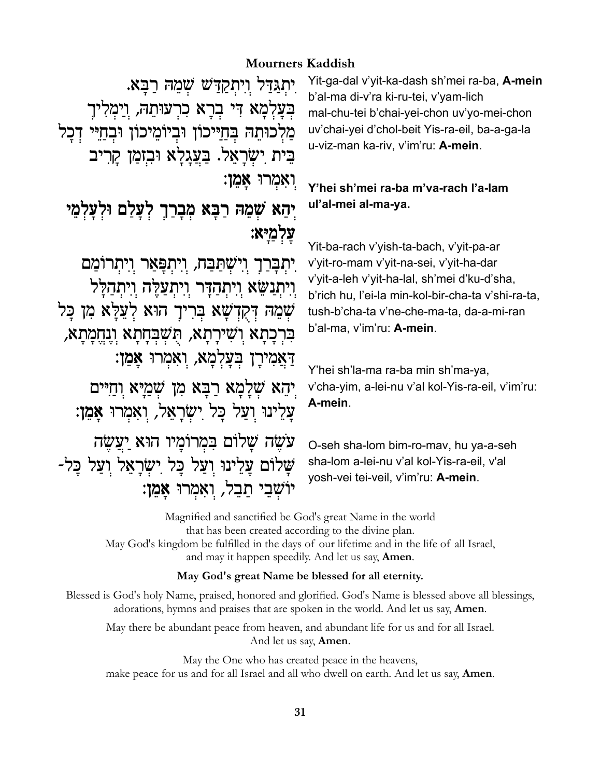## **Mourners Kaddish**

יִתְגַדַּל וִיִתְקַדַּשׁ שָׁמֶהּ רַבָּא. בִּעַלְמַא דִּי בְרָא כִרְעוּתֵהּ, וַיִּמְלִיךָ מֲלִכוּתֵהּ בְּחַיֵּיכוֹן וּבִיוֹמֵיכוֹן וּבְחַיֵּי דְכַל בֵּית יִשְׂרָאֱל. בַּעֲגַלַא וּבִזמַן קַרִיב ואמרו אמן:

# יְהֵא שְׁמֵהּ רַבָּא מִבָרַךָ לִעַּלַם וּלְעַלְמֵי עלמיא:

יתברך וישתבח, ויתפאר ויתרומם ויתנשא ויתהדר ויתעלה ויתהלל שְמֶהּ דְקִדְשָׁא בְּרִיךָ הוּא לְעֲלַּא מְן כּל בִּרְכַּתַא וְשִׁירַתַא, תְּשָׁבְּחַתָא וְנָחֱמַתַא, דאמירן בעלמא, ואמרו אמן: יִהָא שִׁלַמָּא רַבָּא מִן שְׁמַיַּא וְחַיִּים עַלֵינוּ וִעַל כַּל יִשְׂרַאֲל, וְאִמְרוּ אַמֵן:

עשׂה שלום במרומיו הוא יעשה שלום עלינו ועל כל ישראל ועל כל-יוֹשָׁבֵי תֵבֵל, וְאִמְרוּ אַמֵן: Yit-ga-dal v'yit-ka-dash sh'mei ra-ba, A-mein b'al-ma di-v'ra ki-ru-tei, v'yam-lich mal-chu-tei b'chai-yei-chon uv'yo-mei-chon uv'chai-yei d'chol-beit Yis-ra-eil, ba-a-ga-la u-viz-man ka-riv, v'im'ru: A-mein.

## Y'hei sh'mei ra-ba m'va-rach l'a-lam ul'al-mei al-ma-ya.

Yit-ba-rach v'yish-ta-bach, v'yit-pa-ar v'yit-ro-mam v'yit-na-sei, v'yit-ha-dar v'vit-a-leh v'vit-ha-lal, sh'mei d'ku-d'sha, b'rich hu, l'ei-la min-kol-bir-cha-ta v'shi-ra-ta, tush-b'cha-ta v'ne-che-ma-ta, da-a-mi-ran b'al-ma, v'im'ru: A-mein.

Y'hei sh'la-ma ra-ba min sh'ma-ya, v'cha-yim, a-lei-nu v'al kol-Yis-ra-eil, v'im'ru: A-mein.

O-seh sha-lom bim-ro-mav, hu ya-a-seh sha-lom a-lei-nu v'al kol-Yis-ra-eil, v'al yosh-vei tei-veil, v'im'ru: A-mein.

Magnified and sanctified be God's great Name in the world that has been created according to the divine plan. May God's kingdom be fulfilled in the days of our lifetime and in the life of all Israel, and may it happen speedily. And let us say, **Amen**.

#### May God's great Name be blessed for all eternity.

Blessed is God's holy Name, praised, honored and glorified. God's Name is blessed above all blessings, adorations, hymns and praises that are spoken in the world. And let us say, Amen.

May there be abundant peace from heaven, and abundant life for us and for all Israel. And let us say, **Amen**.

May the One who has created peace in the heavens, make peace for us and for all Israel and all who dwell on earth. And let us say, **Amen**.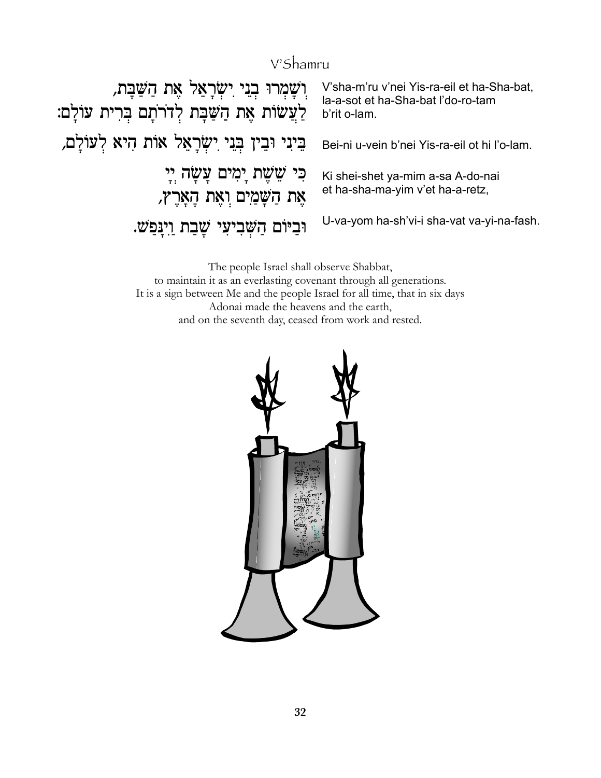## V'Shamru

וְשָׁמְרוּ בְנֵי יִשְׂרָאֵל אֶת הַשַּׁבָּת, V'sha-m'ru v'nei Yis-ra-eil et ha-Sha-bat, la-a-sot et ha-Sha-bat l'do-ro-tam ַלְעֲשׂוֹת אֶת הַשַּׁבָּת לְדֹרֹתָם בְּרִית עוֹלָם: b'rit o-lam. בֵינִי וּבֵין בְּנֵי יִשְׂרָאֵל אוֹת הִיא לְעוֹלָם, Bei-ni u-vein b'nei Yis-ra-eil ot hi l'o-lam. ּכִּי שֵׁשֶׁת יָמִים עֲשָׂה יְיָ Ki shei-shet ya-mim a-sa A-do-nai et ha-sha-ma-yim v'et ha-a-retz, אֶת הַשָּׁמַיִם וְאֶת הָאָרֶץ, U-va-yom ha-sh'vi-i sha-vat va-yi-na-fash. וּבִיּוֹם הַשָּׁבִיעִי שָׁבַת וַיְנַפַּשׁ.

> The people Israel shall observe Shabbat, to maintain it as an everlasting covenant through all generations. It is a sign between Me and the people Israel for all time, that in six days Adonai made the heavens and the earth, and on the seventh day, ceased from work and rested.